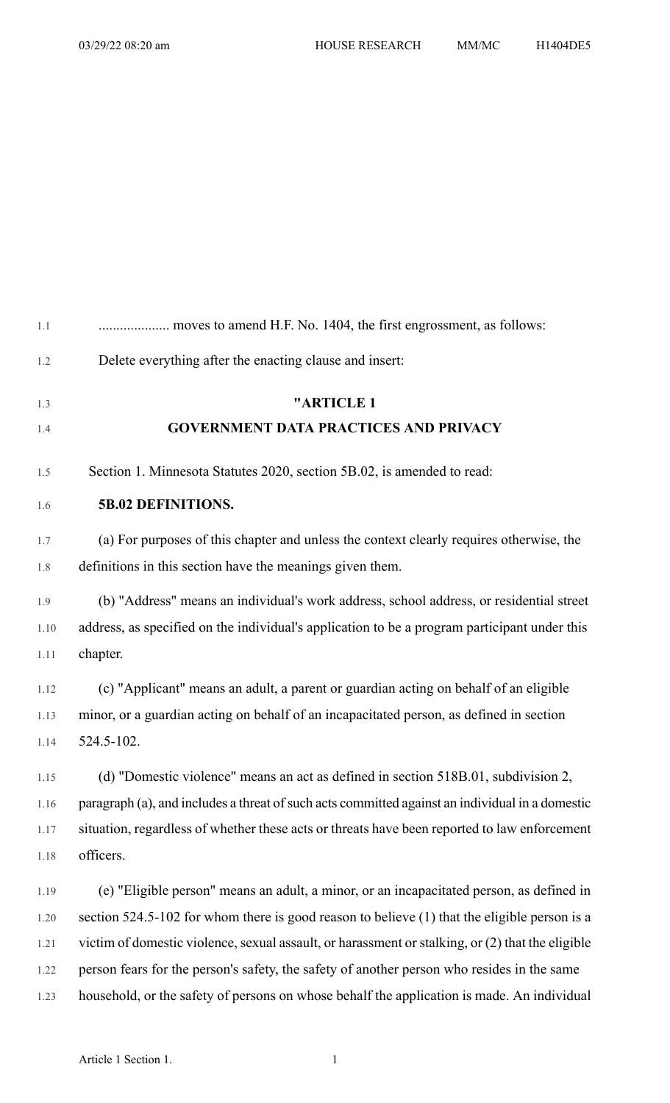| 1.1  |                                                                                                  |
|------|--------------------------------------------------------------------------------------------------|
| 1.2  | Delete everything after the enacting clause and insert:                                          |
| 1.3  | "ARTICLE 1                                                                                       |
| 1.4  | <b>GOVERNMENT DATA PRACTICES AND PRIVACY</b>                                                     |
| 1.5  | Section 1. Minnesota Statutes 2020, section 5B.02, is amended to read:                           |
| 1.6  | 5B.02 DEFINITIONS.                                                                               |
| 1.7  | (a) For purposes of this chapter and unless the context clearly requires otherwise, the          |
| 1.8  | definitions in this section have the meanings given them.                                        |
| 1.9  | (b) "Address" means an individual's work address, school address, or residential street          |
| 1.10 | address, as specified on the individual's application to be a program participant under this     |
| 1.11 | chapter.                                                                                         |
| 1.12 | (c) "Applicant" means an adult, a parent or guardian acting on behalf of an eligible             |
| 1.13 | minor, or a guardian acting on behalf of an incapacitated person, as defined in section          |
| 1.14 | 524.5-102.                                                                                       |
| 1.15 | (d) "Domestic violence" means an act as defined in section 518B.01, subdivision 2,               |
| 1.16 | paragraph (a), and includes a threat of such acts committed against an individual in a domestic  |
| 1.17 | situation, regardless of whether these acts or threats have been reported to law enforcement     |
| 1.18 | officers.                                                                                        |
| 1.19 | (e) "Eligible person" means an adult, a minor, or an incapacitated person, as defined in         |
| 1.20 | section $524.5$ -102 for whom there is good reason to believe (1) that the eligible person is a  |
| 1.21 | victim of domestic violence, sexual assault, or harassment or stalking, or (2) that the eligible |
| 1.22 | person fears for the person's safety, the safety of another person who resides in the same       |
| 1.23 | household, or the safety of persons on whose behalf the application is made. An individual       |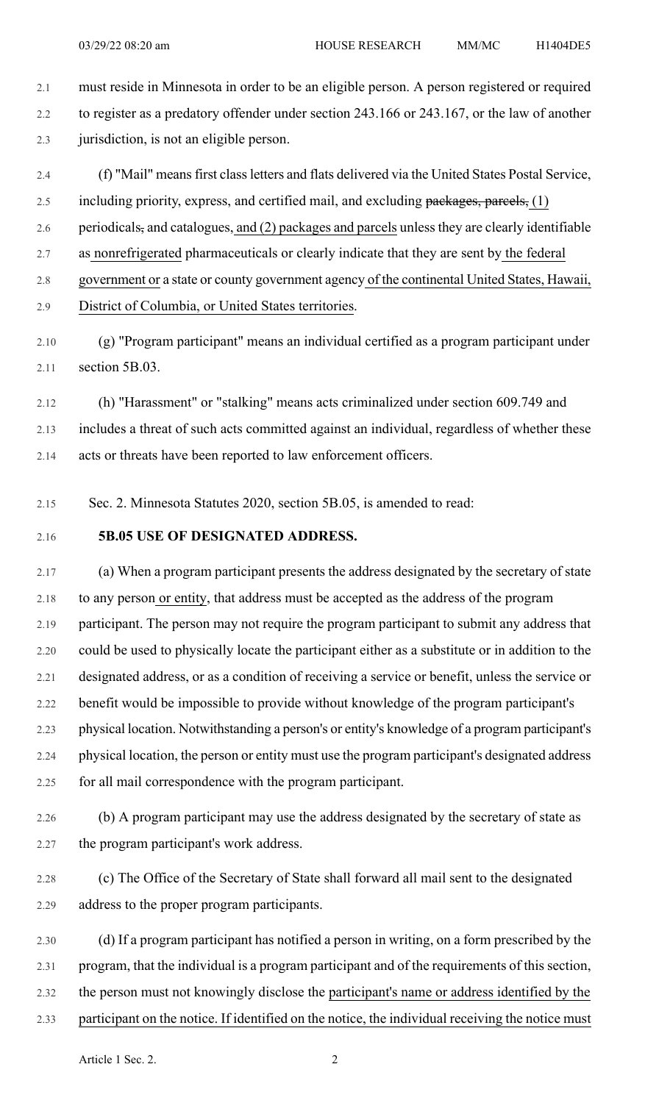2.1 must reside in Minnesota in order to be an eligible person. A person registered or required 2.2 to register as a predatory offender under section 243.166 or 243.167, or the law of another 2.3 jurisdiction, is not an eligible person.

2.4 (f) "Mail" meansfirst classletters and flats delivered via the United States Postal Service, 2.5 including priority, express, and certified mail, and excluding packages, parcels, (1) 2.6 periodicals, and catalogues, and (2) packages and parcels unless they are clearly identifiable 2.7 as nonrefrigerated pharmaceuticals or clearly indicate that they are sent by the federal

2.8 government or a state or county government agency of the continental United States, Hawaii,

2.9 District of Columbia, or United States territories.

2.10 (g) "Program participant" means an individual certified as a program participant under 2.11 section 5B.03.

2.12 (h) "Harassment" or "stalking" means acts criminalized under section 609.749 and 2.13 includes a threat of such acts committed against an individual, regardless of whether these 2.14 acts or threats have been reported to law enforcement officers.

2.15 Sec. 2. Minnesota Statutes 2020, section 5B.05, is amended to read:

## 2.16 **5B.05 USE OF DESIGNATED ADDRESS.**

2.17 (a) When a program participant presents the address designated by the secretary of state 2.18 to any person or entity, that address must be accepted as the address of the program 2.19 participant. The person may not require the program participant to submit any address that 2.20 could be used to physically locate the participant either as a substitute or in addition to the 2.21 designated address, or as a condition of receiving a service or benefit, unless the service or 2.22 benefit would be impossible to provide without knowledge of the program participant's 2.23 physical location. Notwithstanding a person's or entity's knowledge of a program participant's 2.24 physical location, the person or entity must use the program participant's designated address 2.25 for all mail correspondence with the program participant.

2.26 (b) A program participant may use the address designated by the secretary of state as 2.27 the program participant's work address.

2.28 (c) The Office of the Secretary of State shall forward all mail sent to the designated 2.29 address to the proper program participants.

2.30 (d) If a program participant has notified a person in writing, on a form prescribed by the 2.31 program, that the individual is a program participant and of the requirements of this section, 2.32 the person must not knowingly disclose the participant's name or address identified by the 2.33 participant on the notice. If identified on the notice, the individual receiving the notice must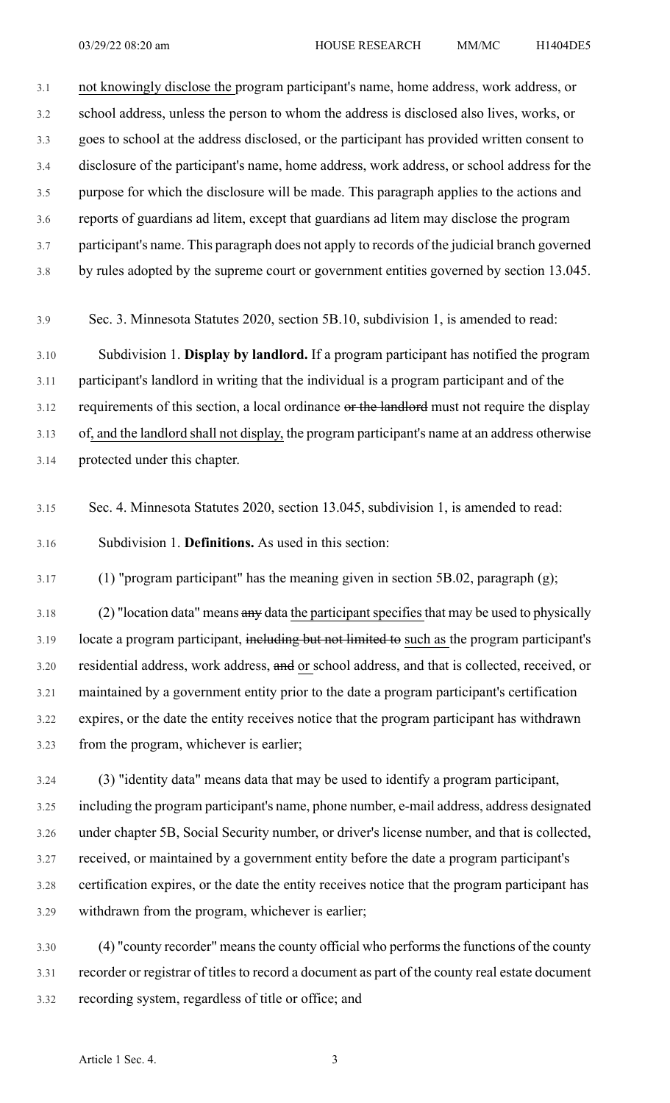3.1 not knowingly disclose the program participant's name, home address, work address, or 3.2 school address, unless the person to whom the address is disclosed also lives, works, or 3.3 goes to school at the address disclosed, or the participant has provided written consent to 3.4 disclosure of the participant's name, home address, work address, or school address for the 3.5 purpose for which the disclosure will be made. This paragraph applies to the actions and 3.6 reports of guardians ad litem, except that guardians ad litem may disclose the program 3.7 participant's name. This paragraph does not apply to records of the judicial branch governed 3.8 by rules adopted by the supreme court or government entities governed by section 13.045.

3.9 Sec. 3. Minnesota Statutes 2020, section 5B.10, subdivision 1, is amended to read:

3.10 Subdivision 1. **Display by landlord.** If a program participant has notified the program 3.11 participant's landlord in writing that the individual is a program participant and of the 3.12 requirements of this section, a local ordinance or the landlord must not require the display 3.13 of, and the landlord shall not display, the program participant's name at an address otherwise 3.14 protected under this chapter.

3.15 Sec. 4. Minnesota Statutes 2020, section 13.045, subdivision 1, is amended to read: 3.16 Subdivision 1. **Definitions.** As used in this section:

3.17 (1) "program participant" has the meaning given in section 5B.02, paragraph (g);

3.18 (2) "location data" means any data the participant specifies that may be used to physically 3.19 locate a program participant, including but not limited to such as the program participant's 3.20 residential address, work address, and or school address, and that is collected, received, or 3.21 maintained by a government entity prior to the date a program participant's certification 3.22 expires, or the date the entity receives notice that the program participant has withdrawn 3.23 from the program, whichever is earlier;

3.24 (3) "identity data" means data that may be used to identify a program participant, 3.25 including the program participant's name, phone number, e-mail address, address designated 3.26 under chapter 5B, Social Security number, or driver's license number, and that is collected, 3.27 received, or maintained by a government entity before the date a program participant's 3.28 certification expires, or the date the entity receives notice that the program participant has 3.29 withdrawn from the program, whichever is earlier;

3.30 (4) "county recorder" meansthe county official who performsthe functions of the county 3.31 recorder or registrar of titles to record a document as part of the county real estate document 3.32 recording system, regardless of title or office; and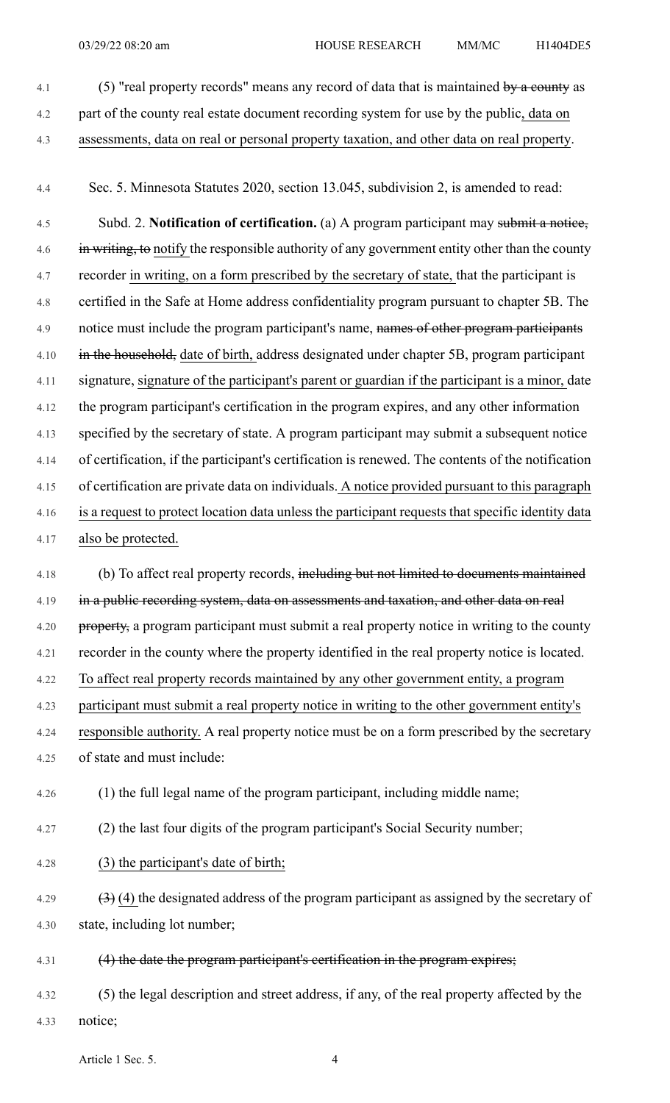4.1 (5) "real property records" means any record of data that is maintained by a county as 4.2 part of the county real estate document recording system for use by the public, data on 4.3 assessments, data on real or personal property taxation, and other data on real property.

4.4 Sec. 5. Minnesota Statutes 2020, section 13.045, subdivision 2, is amended to read:

4.5 Subd. 2. **Notification of certification.** (a) A program participant may submit a notice, 4.6 in writing, to notify the responsible authority of any government entity other than the county 4.7 recorder in writing, on a form prescribed by the secretary of state, that the participant is 4.8 certified in the Safe at Home address confidentiality program pursuant to chapter 5B. The 4.9 notice must include the program participant's name, names of other program participants 4.10 in the household, date of birth, address designated under chapter 5B, program participant 4.11 signature, signature of the participant's parent or guardian if the participant is a minor, date 4.12 the program participant's certification in the program expires, and any other information 4.13 specified by the secretary of state. A program participant may submit a subsequent notice 4.14 of certification, if the participant's certification is renewed. The contents of the notification 4.15 of certification are private data on individuals. A notice provided pursuant to this paragraph 4.16 is a request to protect location data unless the participant requests that specific identity data 4.17 also be protected.

4.18 (b) To affect real property records, including but not limited to documents maintained 4.19 in a public recording system, data on assessments and taxation, and other data on real 4.20 property, a program participant must submit a real property notice in writing to the county 4.21 recorder in the county where the property identified in the real property notice is located. 4.22 To affect real property records maintained by any other government entity, a program 4.23 participant must submit a real property notice in writing to the other government entity's 4.24 responsible authority. A real property notice must be on a form prescribed by the secretary

4.25 of state and must include:

4.26 (1) the full legal name of the program participant, including middle name;

4.27 (2) the last four digits of the program participant's Social Security number;

4.28 (3) the participant's date of birth;

4.29  $(3)$  (4) the designated address of the program participant as assigned by the secretary of 4.30 state, including lot number;

4.31 (4) the date the program participant's certification in the program expires;

4.32 (5) the legal description and street address, if any, of the real property affected by the 4.33 notice;

Article 1 Sec. 5. 4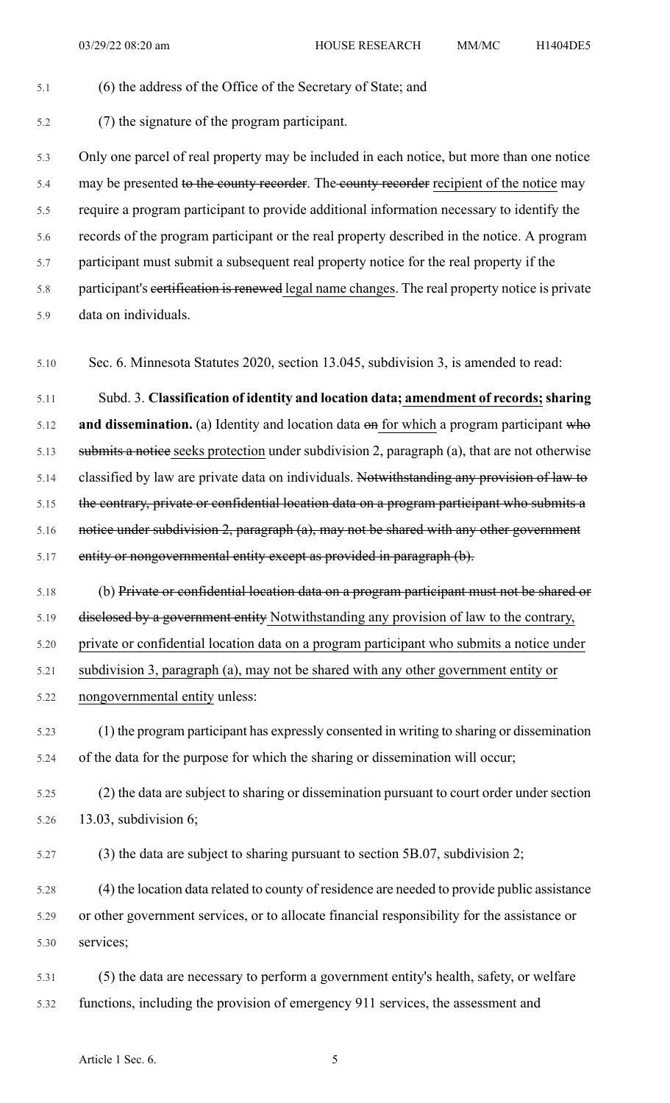- 5.1 (6) the address of the Office of the Secretary of State; and 5.2 (7) the signature of the program participant. 5.3 Only one parcel of real property may be included in each notice, but more than one notice 5.4 may be presented to the county recorder. The county recorder recipient of the notice may 5.5 require a program participant to provide additional information necessary to identify the 5.6 records of the program participant or the real property described in the notice. A program 5.7 participant must submit a subsequent real property notice for the real property if the 5.8 participant's eertification is renewed legal name changes. The real property notice is private 5.9 data on individuals. 5.10 Sec. 6. Minnesota Statutes 2020, section 13.045, subdivision 3, is amended to read: 5.11 Subd. 3. **Classification of identity and location data; amendment of records;sharing** 5.12 **and dissemination.** (a) Identity and location data on for which a program participant who 5.13 submits a notice seeks protection under subdivision 2, paragraph (a), that are not otherwise 5.14 classified by law are private data on individuals. Notwithstanding any provision of law to 5.15 the contrary, private or confidential location data on a program participant who submits a 5.16 notice under subdivision 2, paragraph (a), may not be shared with any other government 5.17 entity or nongovernmental entity except as provided in paragraph (b). 5.18 (b) Private or confidential location data on a program participant must not be shared or 5.19 disclosed by a government entity Notwithstanding any provision of law to the contrary, 5.20 private or confidential location data on a program participant who submits a notice under 5.21 subdivision 3, paragraph (a), may not be shared with any other government entity or
- 5.22 nongovernmental entity unless:
- 5.23 (1) the program participant has expressly consented in writing to sharing or dissemination 5.24 of the data for the purpose for which the sharing or dissemination will occur;
- 5.25 (2) the data are subject to sharing or dissemination pursuant to court order under section 5.26 13.03, subdivision 6;
- 5.27 (3) the data are subject to sharing pursuant to section 5B.07, subdivision 2;
- 5.28 (4) the location data related to county of residence are needed to provide public assistance 5.29 or other government services, or to allocate financial responsibility for the assistance or 5.30 services;
- 5.31 (5) the data are necessary to perform a government entity's health, safety, or welfare 5.32 functions, including the provision of emergency 911 services, the assessment and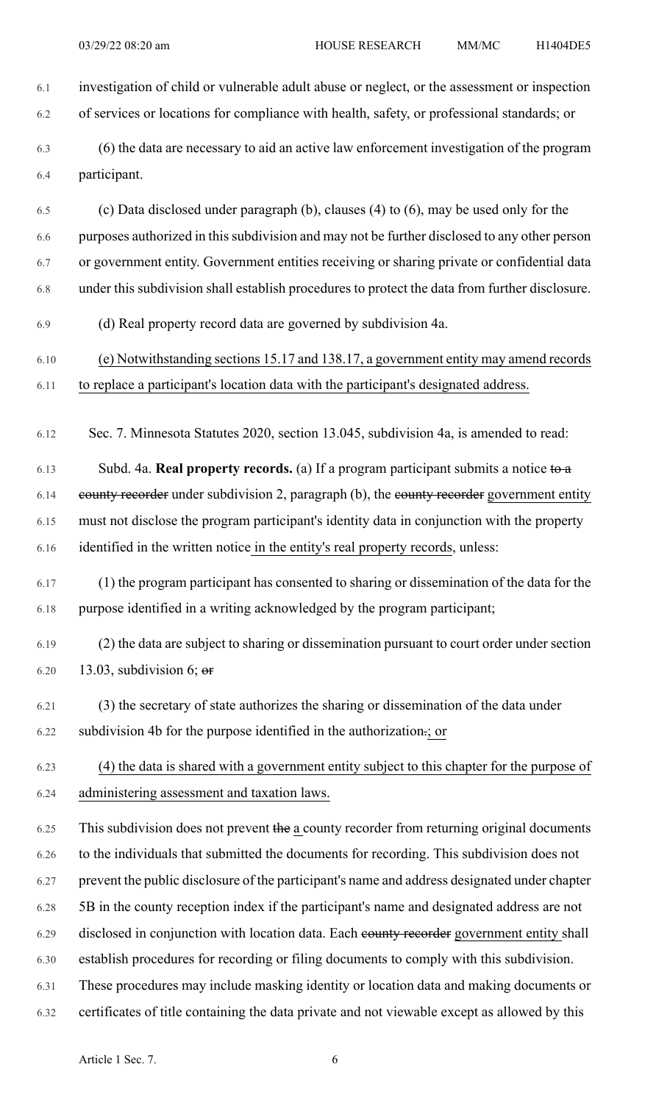- 6.1 investigation of child or vulnerable adult abuse or neglect, or the assessment or inspection 6.2 of services or locations for compliance with health, safety, or professional standards; or 6.3 (6) the data are necessary to aid an active law enforcement investigation of the program 6.4 participant. 6.5 (c) Data disclosed under paragraph (b), clauses (4) to (6), may be used only for the 6.6 purposes authorized in thissubdivision and may not be further disclosed to any other person 6.7 or government entity. Government entities receiving or sharing private or confidential data 6.8 under this subdivision shall establish procedures to protect the data from further disclosure. 6.9 (d) Real property record data are governed by subdivision 4a. 6.10 (e) Notwithstanding sections 15.17 and 138.17, a government entity may amend records 6.11 to replace a participant's location data with the participant's designated address. 6.12 Sec. 7. Minnesota Statutes 2020, section 13.045, subdivision 4a, is amended to read: 6.13 Subd. 4a. **Real property records.** (a) If a program participant submits a notice to a 6.14 eounty recorder under subdivision 2, paragraph (b), the eounty recorder government entity 6.15 must not disclose the program participant's identity data in conjunction with the property 6.16 identified in the written notice in the entity's real property records, unless: 6.17 (1) the program participant has consented to sharing or dissemination of the data for the 6.18 purpose identified in a writing acknowledged by the program participant; 6.19 (2) the data are subject to sharing or dissemination pursuant to court order under section 6.20 13.03, subdivision 6;  $\sigma$ 6.21 (3) the secretary of state authorizes the sharing or dissemination of the data under 6.22 subdivision 4b for the purpose identified in the authorization.; or 6.23 (4) the data is shared with a government entity subject to this chapter for the purpose of 6.24 administering assessment and taxation laws.  $6.25$  This subdivision does not prevent the a county recorder from returning original documents 6.26 to the individuals that submitted the documents for recording. This subdivision does not 6.27 prevent the public disclosure of the participant's name and address designated under chapter 6.28 5B in the county reception index if the participant's name and designated address are not 6.29 disclosed in conjunction with location data. Each county recorder government entity shall
- 6.30 establish procedures for recording or filing documents to comply with this subdivision.
- 6.31 These procedures may include masking identity or location data and making documents or
- 6.32 certificates of title containing the data private and not viewable except as allowed by this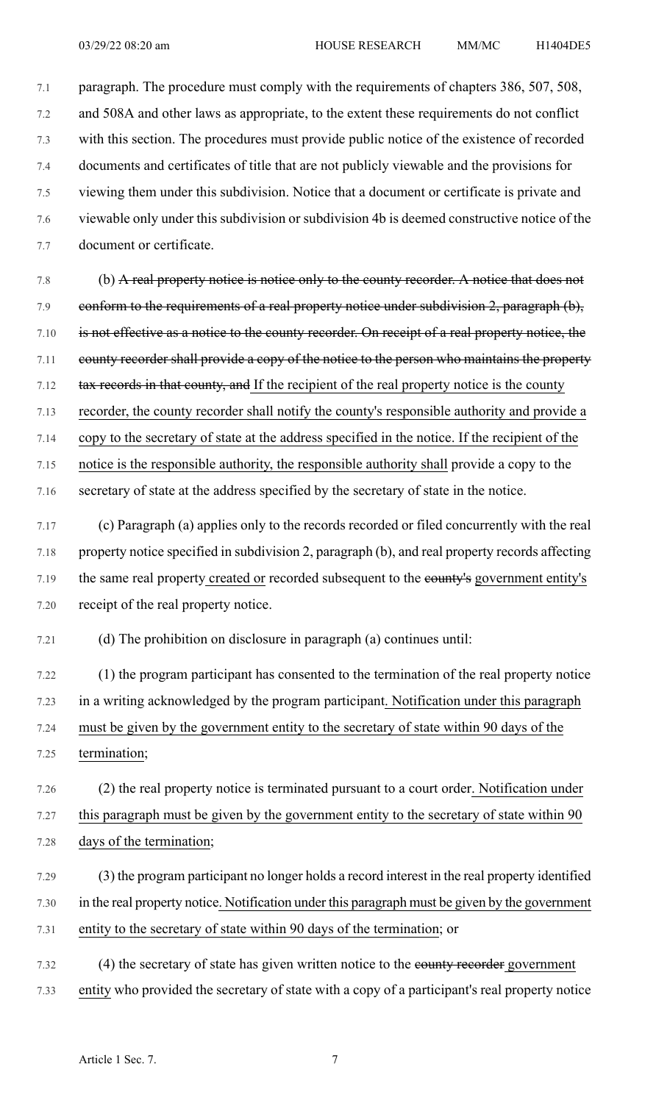7.1 paragraph. The procedure must comply with the requirements of chapters 386, 507, 508, 7.2 and 508A and other laws as appropriate, to the extent these requirements do not conflict 7.3 with this section. The procedures must provide public notice of the existence of recorded 7.4 documents and certificates of title that are not publicly viewable and the provisions for 7.5 viewing them under this subdivision. Notice that a document or certificate is private and 7.6 viewable only under this subdivision or subdivision 4b is deemed constructive notice of the 7.7 document or certificate.

7.8 (b) A real property notice is notice only to the county recorder. A notice that does not 7.9 conform to the requirements of a real property notice under subdivision 2, paragraph (b), 7.10 is not effective as a notice to the county recorder. On receipt of a real property notice, the 7.11 county recorder shall provide a copy of the notice to the person who maintains the property 7.12 tax records in that county, and If the recipient of the real property notice is the county 7.13 recorder, the county recorder shall notify the county's responsible authority and provide a 7.14 copy to the secretary of state at the address specified in the notice. If the recipient of the 7.15 notice is the responsible authority, the responsible authority shall provide a copy to the 7.16 secretary of state at the address specified by the secretary of state in the notice.

7.17 (c) Paragraph (a) applies only to the records recorded or filed concurrently with the real 7.18 property notice specified in subdivision 2, paragraph (b), and real property records affecting 7.19 the same real property created or recorded subsequent to the eounty's government entity's 7.20 receipt of the real property notice.

7.21 (d) The prohibition on disclosure in paragraph (a) continues until:

7.22 (1) the program participant has consented to the termination of the real property notice 7.23 in a writing acknowledged by the program participant. Notification under this paragraph 7.24 must be given by the government entity to the secretary of state within 90 days of the 7.25 termination;

7.26 (2) the real property notice is terminated pursuant to a court order. Notification under 7.27 this paragraph must be given by the government entity to the secretary of state within 90 7.28 days of the termination;

7.29 (3) the program participant no longer holds a record interest in the real property identified 7.30 in the real property notice. Notification under this paragraph must be given by the government 7.31 entity to the secretary of state within 90 days of the termination; or

7.32 (4) the secretary of state has given written notice to the county recorder government 7.33 entity who provided the secretary of state with a copy of a participant's real property notice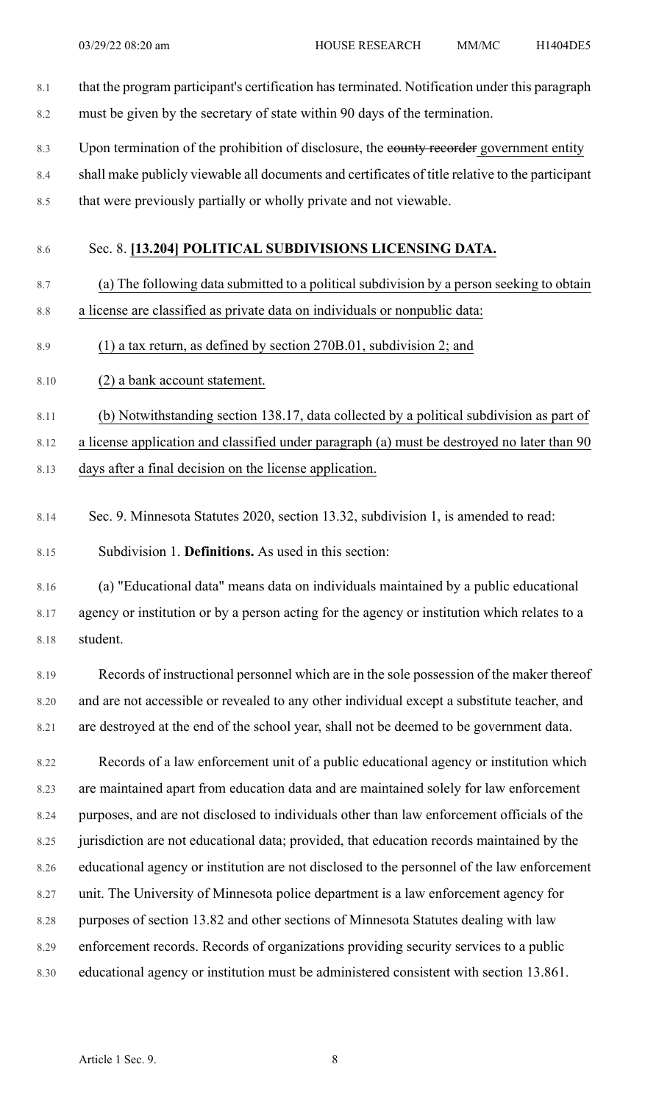- 8.1 that the program participant's certification has terminated. Notification under this paragraph 8.2 must be given by the secretary of state within 90 days of the termination.
- 8.3 Upon termination of the prohibition of disclosure, the eounty recorder government entity
- 8.4 shall make publicly viewable all documents and certificates of title relative to the participant
- 8.5 that were previously partially or wholly private and not viewable.

### 8.6 Sec. 8. **[13.204] POLITICAL SUBDIVISIONS LICENSING DATA.**

- 8.7 (a) The following data submitted to a political subdivision by a person seeking to obtain 8.8 a license are classified as private data on individuals or nonpublic data:
- 8.9 (1) a tax return, as defined by section 270B.01, subdivision 2; and
- 8.10 (2) a bank account statement.
- 8.11 (b) Notwithstanding section 138.17, data collected by a political subdivision as part of

8.12 a license application and classified under paragraph (a) must be destroyed no later than 90

- 8.13 days after a final decision on the license application.
- 8.14 Sec. 9. Minnesota Statutes 2020, section 13.32, subdivision 1, is amended to read:

8.15 Subdivision 1. **Definitions.** As used in this section:

8.16 (a) "Educational data" means data on individuals maintained by a public educational 8.17 agency or institution or by a person acting for the agency or institution which relates to a 8.18 student.

8.19 Records of instructional personnel which are in the sole possession of the maker thereof 8.20 and are not accessible or revealed to any other individual except a substitute teacher, and 8.21 are destroyed at the end of the school year, shall not be deemed to be government data.

8.22 Records of a law enforcement unit of a public educational agency or institution which 8.23 are maintained apart from education data and are maintained solely for law enforcement 8.24 purposes, and are not disclosed to individuals other than law enforcement officials of the 8.25 jurisdiction are not educational data; provided, that education records maintained by the 8.26 educational agency or institution are not disclosed to the personnel of the law enforcement 8.27 unit. The University of Minnesota police department is a law enforcement agency for 8.28 purposes of section 13.82 and other sections of Minnesota Statutes dealing with law 8.29 enforcement records. Records of organizations providing security services to a public 8.30 educational agency or institution must be administered consistent with section 13.861.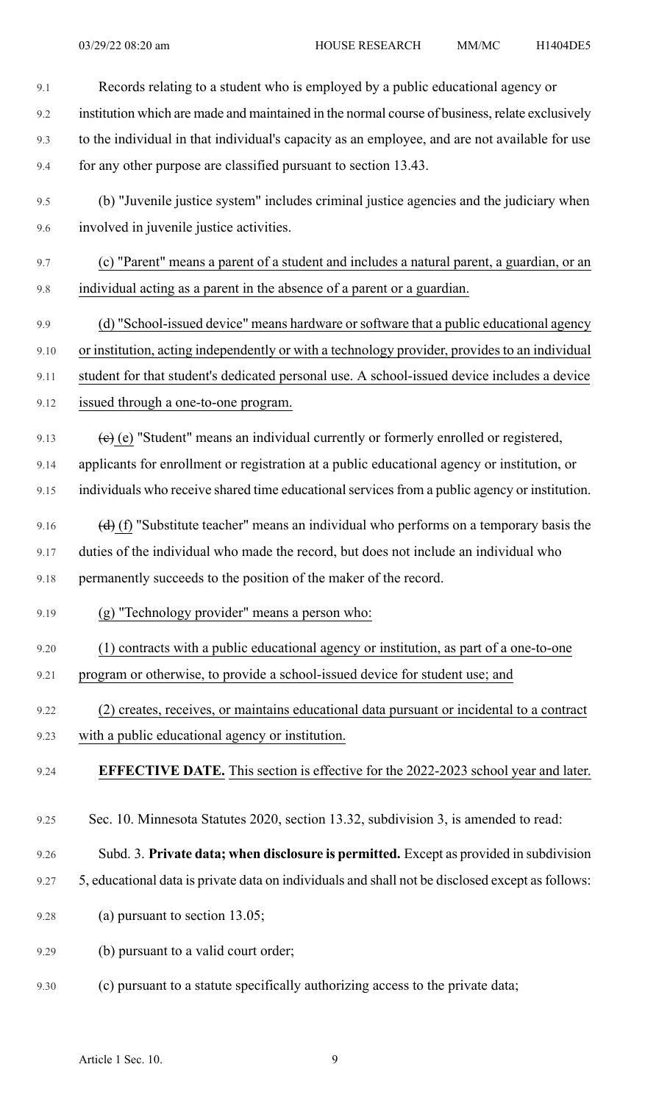| 9.1  | Records relating to a student who is employed by a public educational agency or                  |
|------|--------------------------------------------------------------------------------------------------|
| 9.2  | institution which are made and maintained in the normal course of business, relate exclusively   |
| 9.3  | to the individual in that individual's capacity as an employee, and are not available for use    |
| 9.4  | for any other purpose are classified pursuant to section 13.43.                                  |
| 9.5  | (b) "Juvenile justice system" includes criminal justice agencies and the judiciary when          |
| 9.6  | involved in juvenile justice activities.                                                         |
| 9.7  | (c) "Parent" means a parent of a student and includes a natural parent, a guardian, or an        |
| 9.8  | individual acting as a parent in the absence of a parent or a guardian.                          |
| 9.9  | (d) "School-issued device" means hardware or software that a public educational agency           |
| 9.10 | or institution, acting independently or with a technology provider, provides to an individual    |
| 9.11 | student for that student's dedicated personal use. A school-issued device includes a device      |
| 9.12 | issued through a one-to-one program.                                                             |
| 9.13 | $(e)$ (e) "Student" means an individual currently or formerly enrolled or registered,            |
| 9.14 | applicants for enrollment or registration at a public educational agency or institution, or      |
| 9.15 | individuals who receive shared time educational services from a public agency or institution.    |
| 9.16 | $(d)$ (f) "Substitute teacher" means an individual who performs on a temporary basis the         |
| 9.17 | duties of the individual who made the record, but does not include an individual who             |
| 9.18 | permanently succeeds to the position of the maker of the record.                                 |
| 9.19 | (g) "Technology provider" means a person who:                                                    |
| 9.20 | (1) contracts with a public educational agency or institution, as part of a one-to-one           |
| 9.21 | program or otherwise, to provide a school-issued device for student use; and                     |
| 9.22 | (2) creates, receives, or maintains educational data pursuant or incidental to a contract        |
| 9.23 | with a public educational agency or institution.                                                 |
| 9.24 | <b>EFFECTIVE DATE.</b> This section is effective for the 2022-2023 school year and later.        |
| 9.25 | Sec. 10. Minnesota Statutes 2020, section 13.32, subdivision 3, is amended to read:              |
| 9.26 | Subd. 3. Private data; when disclosure is permitted. Except as provided in subdivision           |
| 9.27 | 5, educational data is private data on individuals and shall not be disclosed except as follows: |
| 9.28 | (a) pursuant to section $13.05$ ;                                                                |
| 9.29 | (b) pursuant to a valid court order;                                                             |
| 9.30 | (c) pursuant to a statute specifically authorizing access to the private data;                   |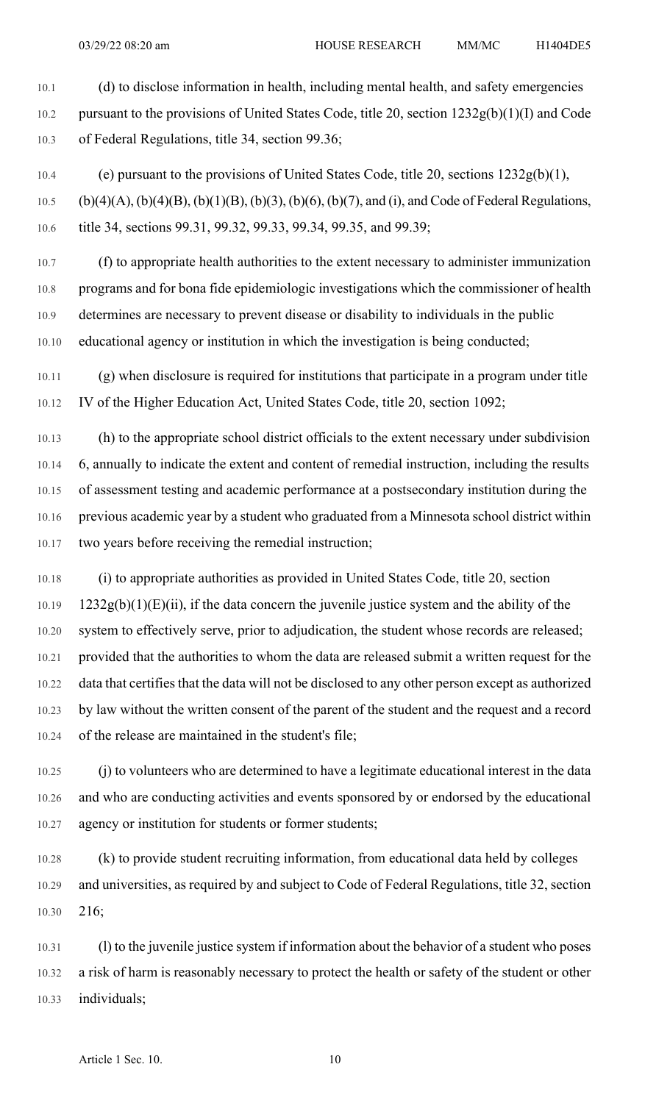10.1 (d) to disclose information in health, including mental health, and safety emergencies 10.2 pursuant to the provisions of United States Code, title 20, section 1232g(b)(1)(I) and Code 10.3 of Federal Regulations, title 34, section 99.36;

10.4 (e) pursuant to the provisions of United States Code, title 20, sections 1232g(b)(1),

10.5 (b)(4)(A), (b)(4)(B), (b)(1)(B), (b)(3), (b)(6), (b)(7), and (i), and Code of Federal Regulations, 10.6 title 34, sections 99.31, 99.32, 99.33, 99.34, 99.35, and 99.39;

10.7 (f) to appropriate health authorities to the extent necessary to administer immunization 10.8 programs and for bona fide epidemiologic investigations which the commissioner of health 10.9 determines are necessary to prevent disease or disability to individuals in the public 10.10 educational agency or institution in which the investigation is being conducted;

10.11 (g) when disclosure is required for institutions that participate in a program under title 10.12 IV of the Higher Education Act, United States Code, title 20, section 1092;

10.13 (h) to the appropriate school district officials to the extent necessary under subdivision 10.14 6, annually to indicate the extent and content of remedial instruction, including the results 10.15 of assessment testing and academic performance at a postsecondary institution during the 10.16 previous academic year by a student who graduated from a Minnesota school district within 10.17 two years before receiving the remedial instruction;

10.18 (i) to appropriate authorities as provided in United States Code, title 20, section  $10.19$  1232g(b)(1)(E)(ii), if the data concern the juvenile justice system and the ability of the 10.20 system to effectively serve, prior to adjudication, the student whose records are released; 10.21 provided that the authorities to whom the data are released submit a written request for the 10.22 data that certifies that the data will not be disclosed to any other person except as authorized 10.23 by law without the written consent of the parent of the student and the request and a record 10.24 of the release are maintained in the student's file;

10.25 (j) to volunteers who are determined to have a legitimate educational interest in the data 10.26 and who are conducting activities and events sponsored by or endorsed by the educational 10.27 agency or institution for students or former students;

10.28 (k) to provide student recruiting information, from educational data held by colleges 10.29 and universities, as required by and subject to Code of Federal Regulations, title 32, section 10.30 216;

10.31 (l) to the juvenile justice system if information about the behavior of a student who poses 10.32 a risk of harm is reasonably necessary to protect the health or safety of the student or other 10.33 individuals;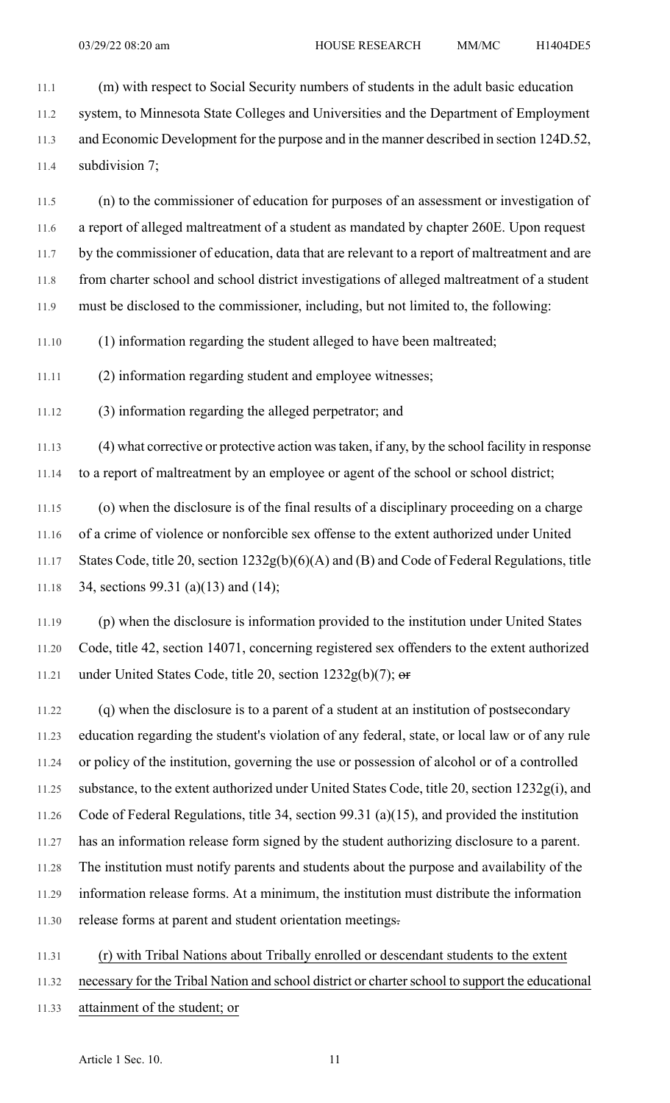11.1 (m) with respect to Social Security numbers of students in the adult basic education 11.2 system, to Minnesota State Colleges and Universities and the Department of Employment 11.3 and Economic Development for the purpose and in the manner described in section 124D.52, 11.4 subdivision 7;

11.5 (n) to the commissioner of education for purposes of an assessment or investigation of 11.6 a report of alleged maltreatment of a student as mandated by chapter 260E. Upon request 11.7 by the commissioner of education, data that are relevant to a report of maltreatment and are 11.8 from charter school and school district investigations of alleged maltreatment of a student 11.9 must be disclosed to the commissioner, including, but not limited to, the following:

11.10 (1) information regarding the student alleged to have been maltreated;

11.11 (2) information regarding student and employee witnesses;

11.12 (3) information regarding the alleged perpetrator; and

11.13 (4) what corrective or protective action wastaken, if any, by the school facility in response 11.14 to a report of maltreatment by an employee or agent of the school or school district;

11.15 (o) when the disclosure is of the final results of a disciplinary proceeding on a charge 11.16 of a crime of violence or nonforcible sex offense to the extent authorized under United 11.17 States Code, title 20, section 1232g(b)(6)(A) and (B) and Code of Federal Regulations, title 11.18 34, sections 99.31 (a)(13) and (14);

11.19 (p) when the disclosure is information provided to the institution under United States 11.20 Code, title 42, section 14071, concerning registered sex offenders to the extent authorized 11.21 under United States Code, title 20, section 1232g(b)(7); or

11.22 (q) when the disclosure is to a parent of a student at an institution of postsecondary 11.23 education regarding the student's violation of any federal, state, or local law or of any rule 11.24 or policy of the institution, governing the use or possession of alcohol or of a controlled 11.25 substance, to the extent authorized under United States Code, title 20, section 1232g(i), and 11.26 Code of Federal Regulations, title 34, section 99.31 (a)(15), and provided the institution 11.27 has an information release form signed by the student authorizing disclosure to a parent. 11.28 The institution must notify parents and students about the purpose and availability of the 11.29 information release forms. At a minimum, the institution must distribute the information 11.30 release forms at parent and student orientation meetings.

11.31 (r) with Tribal Nations about Tribally enrolled or descendant students to the extent 11.32 necessary for the Tribal Nation and school district or charterschool to support the educational 11.33 attainment of the student; or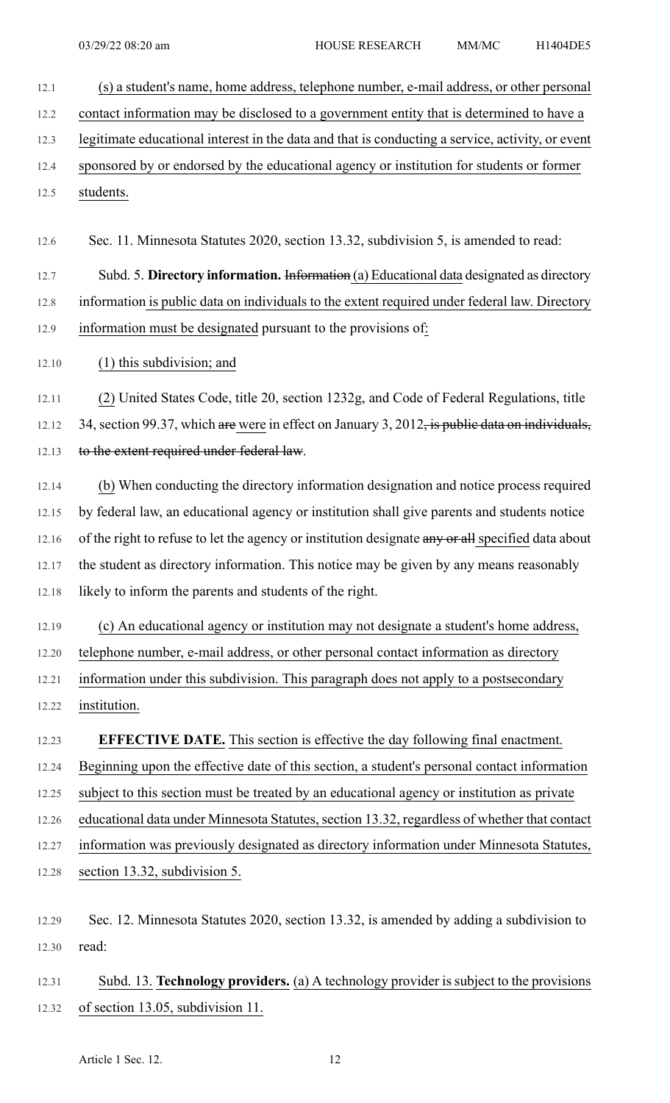12.1 (s) a student's name, home address, telephone number, e-mail address, or other personal

12.2 contact information may be disclosed to a government entity that is determined to have a

12.3 legitimate educational interest in the data and that is conducting a service, activity, or event

- 12.4 sponsored by or endorsed by the educational agency or institution for students or former 12.5 students.
- 12.6 Sec. 11. Minnesota Statutes 2020, section 13.32, subdivision 5, is amended to read:

12.7 Subd. 5. **Directory information.** Information (a) Educational data designated as directory 12.8 information is public data on individuals to the extent required under federal law. Directory 12.9 information must be designated pursuant to the provisions of:

### 12.10 (1) this subdivision; and

12.11 (2) United States Code, title 20, section 1232g, and Code of Federal Regulations, title 12.12 34, section 99.37, which are were in effect on January 3, 2012, is public data on individuals, 12.13 to the extent required under federal law.

- 12.14 (b) When conducting the directory information designation and notice process required 12.15 by federal law, an educational agency or institution shall give parents and students notice 12.16 of the right to refuse to let the agency or institution designate any or all specified data about 12.17 the student as directory information. This notice may be given by any means reasonably 12.18 likely to inform the parents and students of the right.
- 12.19 (c) An educational agency or institution may not designate a student's home address, 12.20 telephone number, e-mail address, or other personal contact information as directory 12.21 information under this subdivision. This paragraph does not apply to a postsecondary 12.22 institution.

## 12.23 **EFFECTIVE DATE.** This section is effective the day following final enactment.

12.24 Beginning upon the effective date of this section, a student's personal contact information

12.25 subject to this section must be treated by an educational agency or institution as private

12.26 educational data under Minnesota Statutes, section 13.32, regardless of whether that contact

12.27 information was previously designated as directory information under Minnesota Statutes, 12.28 section 13.32, subdivision 5.

- 12.29 Sec. 12. Minnesota Statutes 2020, section 13.32, is amended by adding a subdivision to 12.30 read:
- 12.31 Subd. 13. **Technology providers.** (a) A technology provider is subject to the provisions 12.32 of section 13.05, subdivision 11.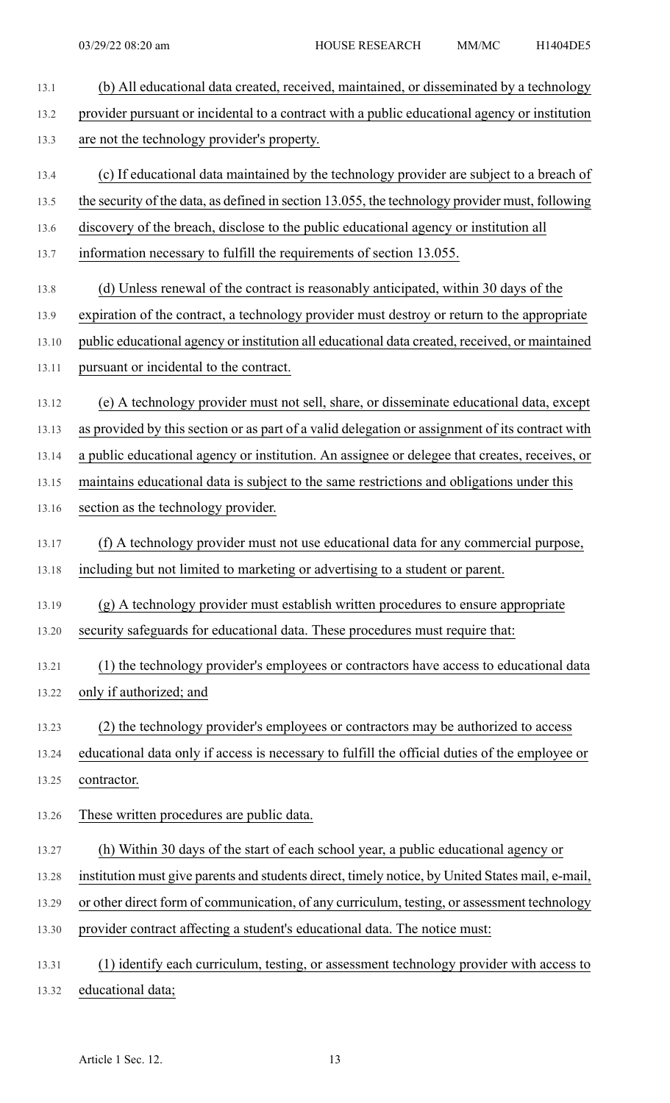| 13.1  | (b) All educational data created, received, maintained, or disseminated by a technology          |
|-------|--------------------------------------------------------------------------------------------------|
| 13.2  | provider pursuant or incidental to a contract with a public educational agency or institution    |
| 13.3  | are not the technology provider's property.                                                      |
| 13.4  | (c) If educational data maintained by the technology provider are subject to a breach of         |
| 13.5  | the security of the data, as defined in section 13.055, the technology provider must, following  |
| 13.6  | discovery of the breach, disclose to the public educational agency or institution all            |
| 13.7  | information necessary to fulfill the requirements of section 13.055.                             |
| 13.8  | (d) Unless renewal of the contract is reasonably anticipated, within 30 days of the              |
| 13.9  | expiration of the contract, a technology provider must destroy or return to the appropriate      |
| 13.10 | public educational agency or institution all educational data created, received, or maintained   |
| 13.11 | pursuant or incidental to the contract.                                                          |
| 13.12 | (e) A technology provider must not sell, share, or disseminate educational data, except          |
| 13.13 | as provided by this section or as part of a valid delegation or assignment of its contract with  |
| 13.14 | a public educational agency or institution. An assignee or delegee that creates, receives, or    |
| 13.15 | maintains educational data is subject to the same restrictions and obligations under this        |
| 13.16 | section as the technology provider.                                                              |
| 13.17 | (f) A technology provider must not use educational data for any commercial purpose,              |
|       | 13.18 including but not limited to marketing or advertising to a student or parent.              |
| 13.19 | (g) A technology provider must establish written procedures to ensure appropriate                |
| 13.20 | security safeguards for educational data. These procedures must require that:                    |
| 13.21 | (1) the technology provider's employees or contractors have access to educational data           |
| 13.22 | only if authorized; and                                                                          |
| 13.23 | (2) the technology provider's employees or contractors may be authorized to access               |
| 13.24 | educational data only if access is necessary to fulfill the official duties of the employee or   |
| 13.25 | contractor.                                                                                      |
| 13.26 | These written procedures are public data.                                                        |
| 13.27 | (h) Within 30 days of the start of each school year, a public educational agency or              |
| 13.28 | institution must give parents and students direct, timely notice, by United States mail, e-mail, |
| 13.29 | or other direct form of communication, of any curriculum, testing, or assessment technology      |
| 13.30 | provider contract affecting a student's educational data. The notice must:                       |
| 13.31 | (1) identify each curriculum, testing, or assessment technology provider with access to          |
|       |                                                                                                  |

13.32 educational data;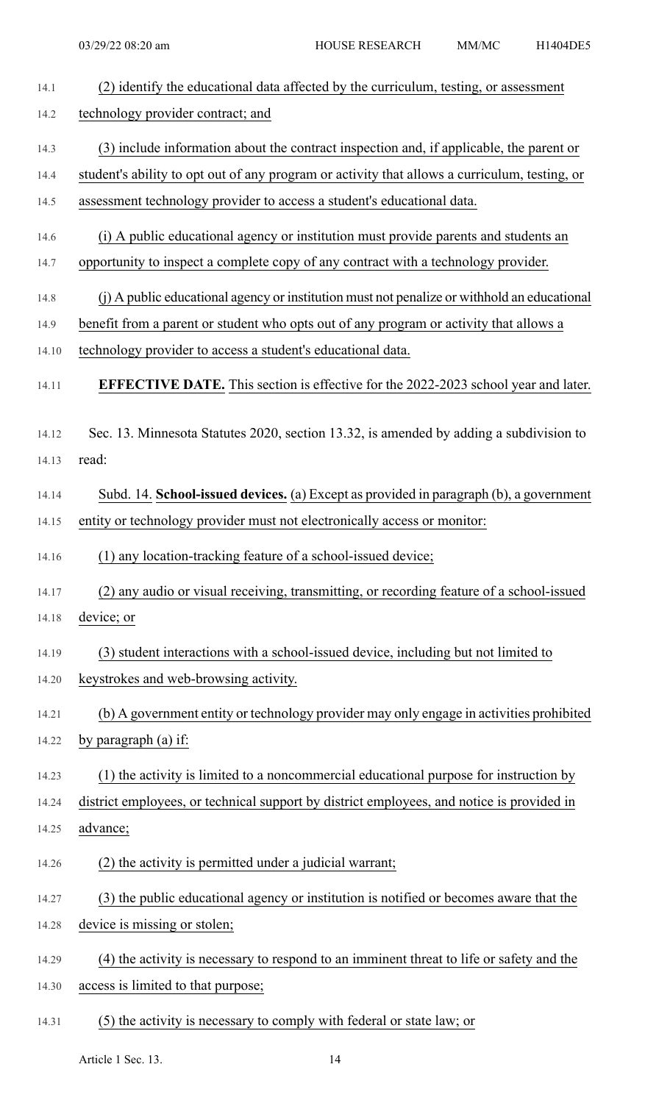| 14.1  | (2) identify the educational data affected by the curriculum, testing, or assessment          |
|-------|-----------------------------------------------------------------------------------------------|
| 14.2  | technology provider contract; and                                                             |
| 14.3  | (3) include information about the contract inspection and, if applicable, the parent or       |
| 14.4  | student's ability to opt out of any program or activity that allows a curriculum, testing, or |
| 14.5  | assessment technology provider to access a student's educational data.                        |
| 14.6  | (i) A public educational agency or institution must provide parents and students an           |
| 14.7  | opportunity to inspect a complete copy of any contract with a technology provider.            |
| 14.8  | (j) A public educational agency or institution must not penalize or withhold an educational   |
| 14.9  | benefit from a parent or student who opts out of any program or activity that allows a        |
| 14.10 | technology provider to access a student's educational data.                                   |
| 14.11 | <b>EFFECTIVE DATE.</b> This section is effective for the 2022-2023 school year and later.     |
| 14.12 | Sec. 13. Minnesota Statutes 2020, section 13.32, is amended by adding a subdivision to        |
| 14.13 | read:                                                                                         |
| 14.14 | Subd. 14. School-issued devices. (a) Except as provided in paragraph (b), a government        |
| 14.15 | entity or technology provider must not electronically access or monitor:                      |
| 14.16 | (1) any location-tracking feature of a school-issued device;                                  |
| 14.17 | (2) any audio or visual receiving, transmitting, or recording feature of a school-issued      |
| 14.18 | device; or                                                                                    |
| 14.19 | (3) student interactions with a school-issued device, including but not limited to            |
| 14.20 | keystrokes and web-browsing activity.                                                         |
| 14.21 | (b) A government entity or technology provider may only engage in activities prohibited       |
| 14.22 | by paragraph (a) if:                                                                          |
| 14.23 | (1) the activity is limited to a noncommercial educational purpose for instruction by         |
| 14.24 | district employees, or technical support by district employees, and notice is provided in     |
| 14.25 | advance;                                                                                      |
| 14.26 | (2) the activity is permitted under a judicial warrant;                                       |
| 14.27 | (3) the public educational agency or institution is notified or becomes aware that the        |
| 14.28 | device is missing or stolen;                                                                  |
| 14.29 | (4) the activity is necessary to respond to an imminent threat to life or safety and the      |
| 14.30 | access is limited to that purpose;                                                            |
| 14.31 | (5) the activity is necessary to comply with federal or state law; or                         |

Article 1 Sec. 13. 14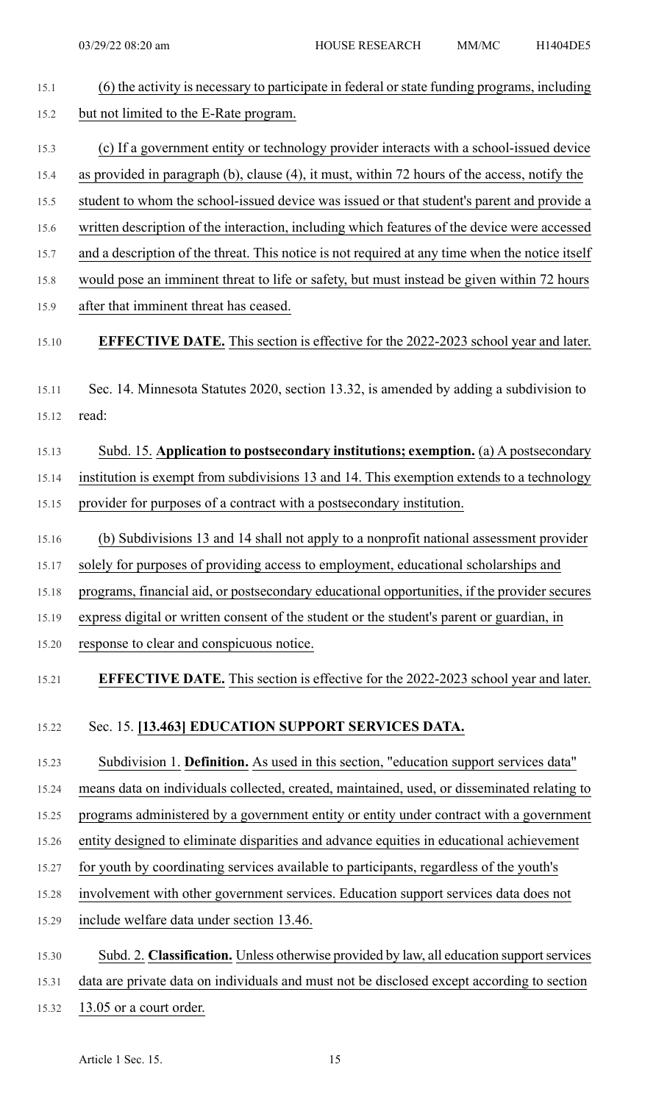| 15.1  | (6) the activity is necessary to participate in federal or state funding programs, including    |
|-------|-------------------------------------------------------------------------------------------------|
| 15.2  | but not limited to the E-Rate program.                                                          |
| 15.3  | (c) If a government entity or technology provider interacts with a school-issued device         |
| 15.4  | as provided in paragraph (b), clause (4), it must, within 72 hours of the access, notify the    |
| 15.5  | student to whom the school-issued device was issued or that student's parent and provide a      |
| 15.6  | written description of the interaction, including which features of the device were accessed    |
| 15.7  | and a description of the threat. This notice is not required at any time when the notice itself |
| 15.8  | would pose an imminent threat to life or safety, but must instead be given within 72 hours      |
| 15.9  | after that imminent threat has ceased.                                                          |
| 15.10 | <b>EFFECTIVE DATE.</b> This section is effective for the 2022-2023 school year and later.       |
| 15.11 | Sec. 14. Minnesota Statutes 2020, section 13.32, is amended by adding a subdivision to          |
| 15.12 | read:                                                                                           |
| 15.13 | Subd. 15. Application to postsecondary institutions; exemption. (a) A postsecondary             |
| 15.14 | institution is exempt from subdivisions 13 and 14. This exemption extends to a technology       |
| 15.15 | provider for purposes of a contract with a postsecondary institution.                           |
| 15.16 | (b) Subdivisions 13 and 14 shall not apply to a nonprofit national assessment provider          |
| 15.17 | solely for purposes of providing access to employment, educational scholarships and             |
| 15.18 | programs, financial aid, or postsecondary educational opportunities, if the provider secures    |
| 15.19 | express digital or written consent of the student or the student's parent or guardian, in       |
| 15.20 | response to clear and conspicuous notice.                                                       |
| 15.21 | <b>EFFECTIVE DATE.</b> This section is effective for the 2022-2023 school year and later.       |
| 15.22 | Sec. 15. [13.463] EDUCATION SUPPORT SERVICES DATA.                                              |
| 15.23 | Subdivision 1. Definition. As used in this section, "education support services data"           |
| 15.24 | means data on individuals collected, created, maintained, used, or disseminated relating to     |
| 15.25 | programs administered by a government entity or entity under contract with a government         |
| 15.26 | entity designed to eliminate disparities and advance equities in educational achievement        |
| 15.27 | for youth by coordinating services available to participants, regardless of the youth's         |
| 15.28 | involvement with other government services. Education support services data does not            |
| 15.29 | include welfare data under section 13.46.                                                       |
| 15.30 | Subd. 2. Classification. Unless otherwise provided by law, all education support services       |
| 15.31 | data are private data on individuals and must not be disclosed except according to section      |
| 15.32 | 13.05 or a court order.                                                                         |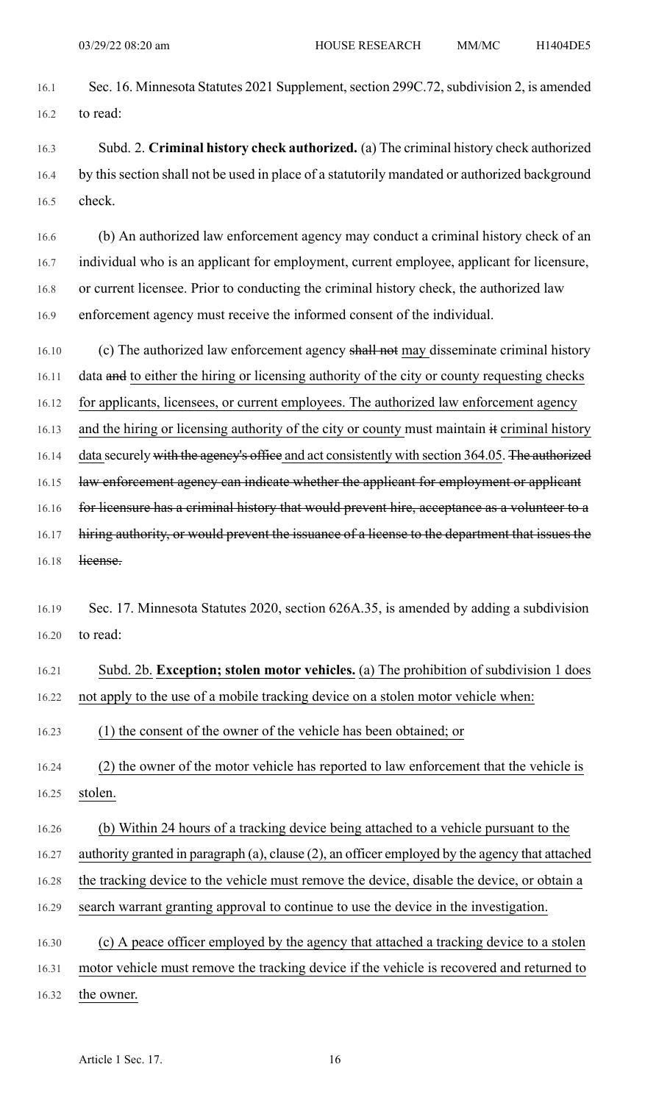16.1 Sec. 16. Minnesota Statutes 2021 Supplement, section 299C.72, subdivision 2, is amended 16.2 to read:

16.3 Subd. 2. **Criminal history check authorized.** (a) The criminal history check authorized 16.4 by this section shall not be used in place of a statutorily mandated or authorized background 16.5 check.

16.6 (b) An authorized law enforcement agency may conduct a criminal history check of an 16.7 individual who is an applicant for employment, current employee, applicant for licensure, 16.8 or current licensee. Prior to conducting the criminal history check, the authorized law 16.9 enforcement agency must receive the informed consent of the individual.

16.10 (c) The authorized law enforcement agency shall not may disseminate criminal history

16.11 data and to either the hiring or licensing authority of the city or county requesting checks

16.12 for applicants, licensees, or current employees. The authorized law enforcement agency

16.13 and the hiring or licensing authority of the city or county must maintain it criminal history

16.14 data securely with the agency's office and act consistently with section 364.05. The authorized

16.15 law enforcement agency can indicate whether the applicant for employment or applicant

16.16 for licensure has a criminal history that would prevent hire, acceptance as a volunteer to a

16.17 hiring authority, or would prevent the issuance of a license to the department that issues the 16.18 license.

16.19 Sec. 17. Minnesota Statutes 2020, section 626A.35, is amended by adding a subdivision 16.20 to read:

16.21 Subd. 2b. **Exception; stolen motor vehicles.** (a) The prohibition of subdivision 1 does 16.22 not apply to the use of a mobile tracking device on a stolen motor vehicle when:

16.23 (1) the consent of the owner of the vehicle has been obtained; or

16.24 (2) the owner of the motor vehicle has reported to law enforcement that the vehicle is 16.25 stolen.

16.26 (b) Within 24 hours of a tracking device being attached to a vehicle pursuant to the

16.27 authority granted in paragraph (a), clause (2), an officer employed by the agency that attached

16.28 the tracking device to the vehicle must remove the device, disable the device, or obtain a

16.29 search warrant granting approval to continue to use the device in the investigation.

16.30 (c) A peace officer employed by the agency that attached a tracking device to a stolen

16.31 motor vehicle must remove the tracking device if the vehicle is recovered and returned to

16.32 the owner.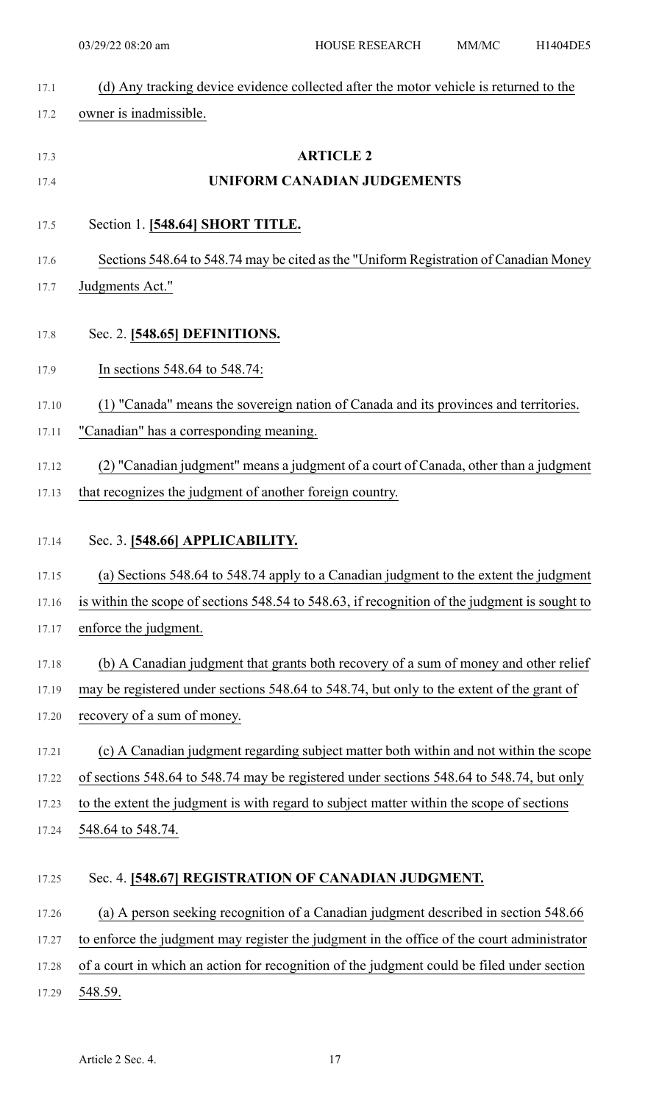| (d) Any tracking device evidence collected after the motor vehicle is returned to the         |
|-----------------------------------------------------------------------------------------------|
| owner is inadmissible.                                                                        |
| <b>ARTICLE 2</b>                                                                              |
| UNIFORM CANADIAN JUDGEMENTS                                                                   |
|                                                                                               |
| Section 1. [548.64] SHORT TITLE.                                                              |
| Sections 548.64 to 548.74 may be cited as the "Uniform Registration of Canadian Money         |
| Judgments Act."                                                                               |
| Sec. 2. [548.65] DEFINITIONS.                                                                 |
| In sections 548.64 to 548.74:                                                                 |
| (1) "Canada" means the sovereign nation of Canada and its provinces and territories.          |
| "Canadian" has a corresponding meaning.                                                       |
| (2) "Canadian judgment" means a judgment of a court of Canada, other than a judgment          |
| that recognizes the judgment of another foreign country.                                      |
| Sec. 3. [548.66] APPLICABILITY.                                                               |
| (a) Sections 548.64 to 548.74 apply to a Canadian judgment to the extent the judgment         |
| is within the scope of sections 548.54 to 548.63, if recognition of the judgment is sought to |
| enforce the judgment.                                                                         |
| (b) A Canadian judgment that grants both recovery of a sum of money and other relief          |
| may be registered under sections 548.64 to 548.74, but only to the extent of the grant of     |
| recovery of a sum of money.                                                                   |
| (c) A Canadian judgment regarding subject matter both within and not within the scope         |
| of sections 548.64 to 548.74 may be registered under sections 548.64 to 548.74, but only      |
| to the extent the judgment is with regard to subject matter within the scope of sections      |
| 548.64 to 548.74.                                                                             |
| Sec. 4. [548.67] REGISTRATION OF CANADIAN JUDGMENT.                                           |
| (a) A person seeking recognition of a Canadian judgment described in section 548.66           |
| to enforce the judgment may register the judgment in the office of the court administrator    |
| of a court in which an action for recognition of the judgment could be filed under section    |
| 548.59.                                                                                       |
|                                                                                               |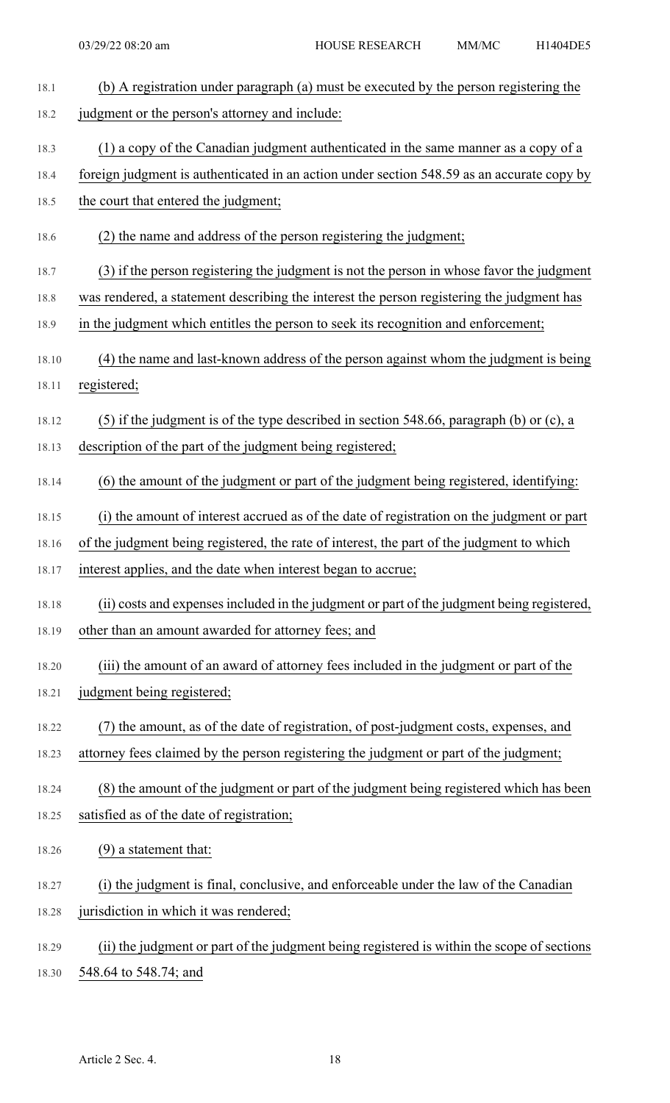| 18.1  | (b) A registration under paragraph (a) must be executed by the person registering the      |
|-------|--------------------------------------------------------------------------------------------|
| 18.2  | judgment or the person's attorney and include:                                             |
| 18.3  | (1) a copy of the Canadian judgment authenticated in the same manner as a copy of a        |
| 18.4  | foreign judgment is authenticated in an action under section 548.59 as an accurate copy by |
| 18.5  | the court that entered the judgment;                                                       |
| 18.6  | (2) the name and address of the person registering the judgment;                           |
| 18.7  | (3) if the person registering the judgment is not the person in whose favor the judgment   |
| 18.8  | was rendered, a statement describing the interest the person registering the judgment has  |
| 18.9  | in the judgment which entitles the person to seek its recognition and enforcement;         |
| 18.10 | (4) the name and last-known address of the person against whom the judgment is being       |
| 18.11 | registered;                                                                                |
| 18.12 | $(5)$ if the judgment is of the type described in section 548.66, paragraph (b) or (c), a  |
| 18.13 | description of the part of the judgment being registered;                                  |
| 18.14 | (6) the amount of the judgment or part of the judgment being registered, identifying:      |
| 18.15 | (i) the amount of interest accrued as of the date of registration on the judgment or part  |
| 18.16 | of the judgment being registered, the rate of interest, the part of the judgment to which  |
| 18.17 | interest applies, and the date when interest began to accrue;                              |
| 18.18 | (ii) costs and expenses included in the judgment or part of the judgment being registered, |
| 18.19 | other than an amount awarded for attorney fees; and                                        |
| 18.20 | (iii) the amount of an award of attorney fees included in the judgment or part of the      |
| 18.21 | judgment being registered;                                                                 |
| 18.22 | (7) the amount, as of the date of registration, of post-judgment costs, expenses, and      |
| 18.23 | attorney fees claimed by the person registering the judgment or part of the judgment;      |
| 18.24 | (8) the amount of the judgment or part of the judgment being registered which has been     |
| 18.25 | satisfied as of the date of registration;                                                  |
| 18.26 | $(9)$ a statement that:                                                                    |
| 18.27 | (i) the judgment is final, conclusive, and enforceable under the law of the Canadian       |
| 18.28 | jurisdiction in which it was rendered;                                                     |
| 18.29 | (ii) the judgment or part of the judgment being registered is within the scope of sections |
| 18.30 | 548.64 to 548.74; and                                                                      |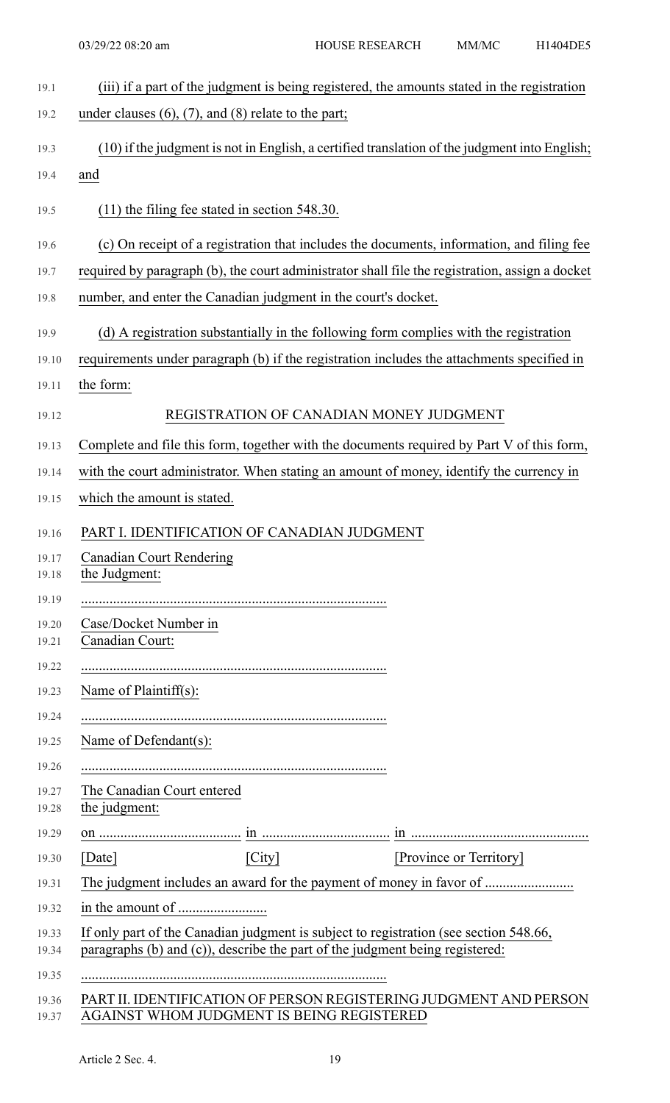| 19.1           | (iii) if a part of the judgment is being registered, the amounts stated in the registration     |
|----------------|-------------------------------------------------------------------------------------------------|
| 19.2           | under clauses $(6)$ , $(7)$ , and $(8)$ relate to the part;                                     |
| 19.3           | (10) if the judgment is not in English, a certified translation of the judgment into English;   |
| 19.4           | and                                                                                             |
| 19.5           | $(11)$ the filing fee stated in section 548.30.                                                 |
| 19.6           | (c) On receipt of a registration that includes the documents, information, and filing fee       |
| 19.7           | required by paragraph (b), the court administrator shall file the registration, assign a docket |
| 19.8           | number, and enter the Canadian judgment in the court's docket.                                  |
| 19.9           | (d) A registration substantially in the following form complies with the registration           |
| 19.10          | requirements under paragraph (b) if the registration includes the attachments specified in      |
| 19.11          | the form:                                                                                       |
| 19.12          | REGISTRATION OF CANADIAN MONEY JUDGMENT                                                         |
| 19.13          | Complete and file this form, together with the documents required by Part V of this form,       |
| 19.14          | with the court administrator. When stating an amount of money, identify the currency in         |
| 19.15          | which the amount is stated.                                                                     |
| 19.16          | PART I. IDENTIFICATION OF CANADIAN JUDGMENT                                                     |
| 19.17<br>19.18 | <b>Canadian Court Rendering</b><br>the Judgment:                                                |
| 19.19          |                                                                                                 |
| 19.20<br>19.21 | Case/Docket Number in<br>Canadian Court:                                                        |
| 19.22          |                                                                                                 |
| 19.23          | Name of Plaintiff(s):                                                                           |
| 19.24          |                                                                                                 |
| 19.25          | Name of Defendant(s):                                                                           |
| 19.26          |                                                                                                 |
| 19.27<br>19.28 | The Canadian Court entered<br>the judgment:                                                     |
| 19.29          |                                                                                                 |
| 19.30          | [City]<br>[Province or Territory]<br>[Date]                                                     |
| 19.31          | The judgment includes an award for the payment of money in favor of                             |
| 19.32          |                                                                                                 |
| 19.33          | If only part of the Canadian judgment is subject to registration (see section 548.66,           |
| 19.34          | paragraphs (b) and (c)), describe the part of the judgment being registered:                    |
| 19.35          |                                                                                                 |
| 19.36          | PART II. IDENTIFICATION OF PERSON REGISTERING JUDGMENT AND PERSON                               |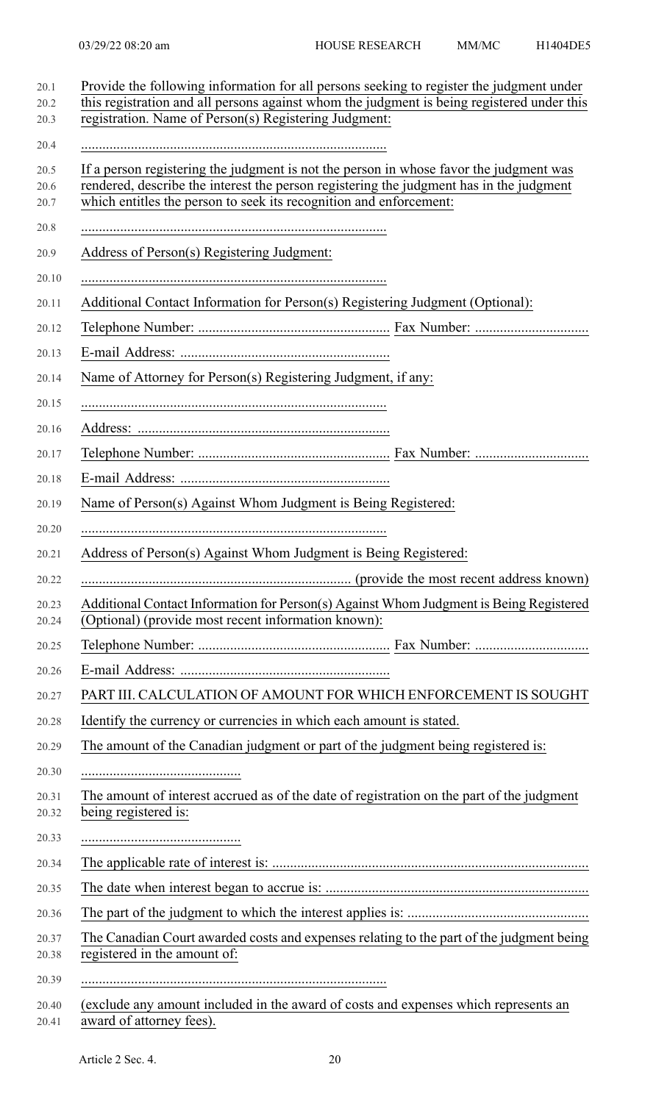| If a person registering the judgment is not the person in whose favor the judgment was<br>rendered, describe the interest the person registering the judgment has in the judgment<br>which entitles the person to seek its recognition and enforcement:<br>Address of Person(s) Registering Judgment:<br>Additional Contact Information for Person(s) Registering Judgment (Optional):<br>Name of Attorney for Person(s) Registering Judgment, if any:<br>Name of Person(s) Against Whom Judgment is Being Registered:<br>Address of Person(s) Against Whom Judgment is Being Registered:<br>Additional Contact Information for Person(s) Against Whom Judgment is Being Registered<br>(Optional) (provide most recent information known):<br>PART III. CALCULATION OF AMOUNT FOR WHICH ENFORCEMENT IS SOUGHT<br>Identify the currency or currencies in which each amount is stated.<br>The amount of the Canadian judgment or part of the judgment being registered is:<br>The amount of interest accrued as of the date of registration on the part of the judgment<br>being registered is: |
|-----------------------------------------------------------------------------------------------------------------------------------------------------------------------------------------------------------------------------------------------------------------------------------------------------------------------------------------------------------------------------------------------------------------------------------------------------------------------------------------------------------------------------------------------------------------------------------------------------------------------------------------------------------------------------------------------------------------------------------------------------------------------------------------------------------------------------------------------------------------------------------------------------------------------------------------------------------------------------------------------------------------------------------------------------------------------------------------------|
|                                                                                                                                                                                                                                                                                                                                                                                                                                                                                                                                                                                                                                                                                                                                                                                                                                                                                                                                                                                                                                                                                               |
|                                                                                                                                                                                                                                                                                                                                                                                                                                                                                                                                                                                                                                                                                                                                                                                                                                                                                                                                                                                                                                                                                               |
|                                                                                                                                                                                                                                                                                                                                                                                                                                                                                                                                                                                                                                                                                                                                                                                                                                                                                                                                                                                                                                                                                               |
|                                                                                                                                                                                                                                                                                                                                                                                                                                                                                                                                                                                                                                                                                                                                                                                                                                                                                                                                                                                                                                                                                               |
|                                                                                                                                                                                                                                                                                                                                                                                                                                                                                                                                                                                                                                                                                                                                                                                                                                                                                                                                                                                                                                                                                               |
|                                                                                                                                                                                                                                                                                                                                                                                                                                                                                                                                                                                                                                                                                                                                                                                                                                                                                                                                                                                                                                                                                               |
|                                                                                                                                                                                                                                                                                                                                                                                                                                                                                                                                                                                                                                                                                                                                                                                                                                                                                                                                                                                                                                                                                               |
|                                                                                                                                                                                                                                                                                                                                                                                                                                                                                                                                                                                                                                                                                                                                                                                                                                                                                                                                                                                                                                                                                               |
|                                                                                                                                                                                                                                                                                                                                                                                                                                                                                                                                                                                                                                                                                                                                                                                                                                                                                                                                                                                                                                                                                               |
|                                                                                                                                                                                                                                                                                                                                                                                                                                                                                                                                                                                                                                                                                                                                                                                                                                                                                                                                                                                                                                                                                               |
|                                                                                                                                                                                                                                                                                                                                                                                                                                                                                                                                                                                                                                                                                                                                                                                                                                                                                                                                                                                                                                                                                               |
|                                                                                                                                                                                                                                                                                                                                                                                                                                                                                                                                                                                                                                                                                                                                                                                                                                                                                                                                                                                                                                                                                               |
|                                                                                                                                                                                                                                                                                                                                                                                                                                                                                                                                                                                                                                                                                                                                                                                                                                                                                                                                                                                                                                                                                               |
|                                                                                                                                                                                                                                                                                                                                                                                                                                                                                                                                                                                                                                                                                                                                                                                                                                                                                                                                                                                                                                                                                               |
|                                                                                                                                                                                                                                                                                                                                                                                                                                                                                                                                                                                                                                                                                                                                                                                                                                                                                                                                                                                                                                                                                               |
|                                                                                                                                                                                                                                                                                                                                                                                                                                                                                                                                                                                                                                                                                                                                                                                                                                                                                                                                                                                                                                                                                               |
|                                                                                                                                                                                                                                                                                                                                                                                                                                                                                                                                                                                                                                                                                                                                                                                                                                                                                                                                                                                                                                                                                               |
|                                                                                                                                                                                                                                                                                                                                                                                                                                                                                                                                                                                                                                                                                                                                                                                                                                                                                                                                                                                                                                                                                               |
|                                                                                                                                                                                                                                                                                                                                                                                                                                                                                                                                                                                                                                                                                                                                                                                                                                                                                                                                                                                                                                                                                               |
|                                                                                                                                                                                                                                                                                                                                                                                                                                                                                                                                                                                                                                                                                                                                                                                                                                                                                                                                                                                                                                                                                               |
|                                                                                                                                                                                                                                                                                                                                                                                                                                                                                                                                                                                                                                                                                                                                                                                                                                                                                                                                                                                                                                                                                               |
|                                                                                                                                                                                                                                                                                                                                                                                                                                                                                                                                                                                                                                                                                                                                                                                                                                                                                                                                                                                                                                                                                               |
|                                                                                                                                                                                                                                                                                                                                                                                                                                                                                                                                                                                                                                                                                                                                                                                                                                                                                                                                                                                                                                                                                               |
|                                                                                                                                                                                                                                                                                                                                                                                                                                                                                                                                                                                                                                                                                                                                                                                                                                                                                                                                                                                                                                                                                               |
|                                                                                                                                                                                                                                                                                                                                                                                                                                                                                                                                                                                                                                                                                                                                                                                                                                                                                                                                                                                                                                                                                               |
|                                                                                                                                                                                                                                                                                                                                                                                                                                                                                                                                                                                                                                                                                                                                                                                                                                                                                                                                                                                                                                                                                               |
|                                                                                                                                                                                                                                                                                                                                                                                                                                                                                                                                                                                                                                                                                                                                                                                                                                                                                                                                                                                                                                                                                               |
|                                                                                                                                                                                                                                                                                                                                                                                                                                                                                                                                                                                                                                                                                                                                                                                                                                                                                                                                                                                                                                                                                               |
| The Canadian Court awarded costs and expenses relating to the part of the judgment being<br>registered in the amount of:                                                                                                                                                                                                                                                                                                                                                                                                                                                                                                                                                                                                                                                                                                                                                                                                                                                                                                                                                                      |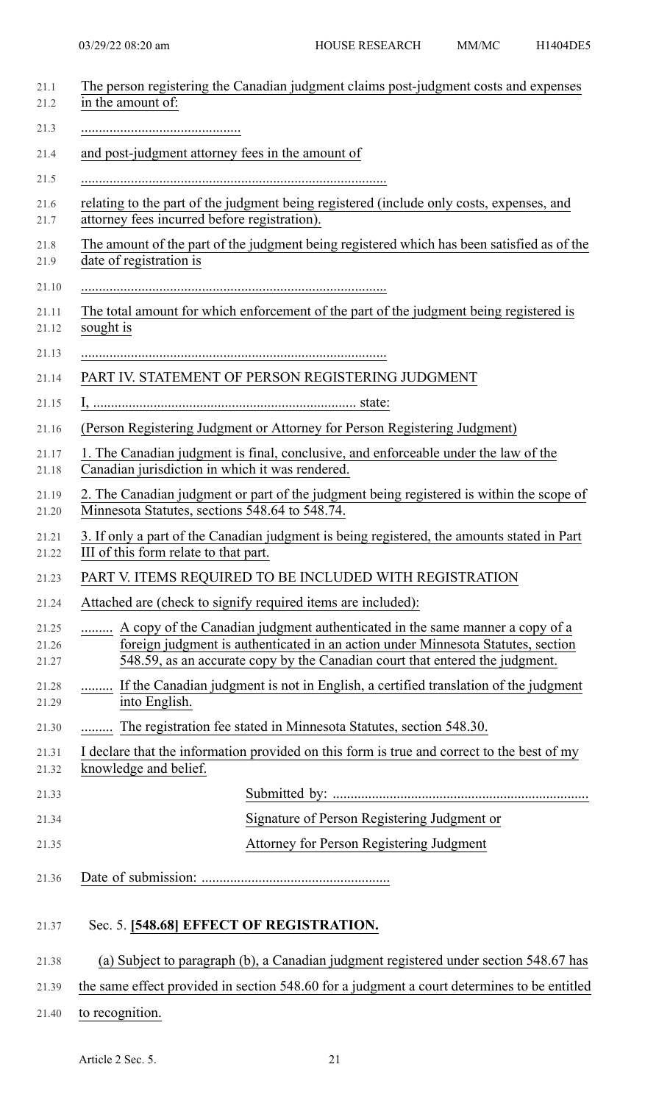| The person registering the Canadian judgment claims post-judgment costs and expenses<br>in the amount of:                                                                                                                                        |
|--------------------------------------------------------------------------------------------------------------------------------------------------------------------------------------------------------------------------------------------------|
|                                                                                                                                                                                                                                                  |
|                                                                                                                                                                                                                                                  |
| and post-judgment attorney fees in the amount of                                                                                                                                                                                                 |
|                                                                                                                                                                                                                                                  |
| relating to the part of the judgment being registered (include only costs, expenses, and<br>attorney fees incurred before registration).                                                                                                         |
| The amount of the part of the judgment being registered which has been satisfied as of the<br>date of registration is                                                                                                                            |
|                                                                                                                                                                                                                                                  |
| The total amount for which enforcement of the part of the judgment being registered is<br>sought is                                                                                                                                              |
|                                                                                                                                                                                                                                                  |
| PART IV. STATEMENT OF PERSON REGISTERING JUDGMENT                                                                                                                                                                                                |
|                                                                                                                                                                                                                                                  |
| (Person Registering Judgment or Attorney for Person Registering Judgment)                                                                                                                                                                        |
| 1. The Canadian judgment is final, conclusive, and enforceable under the law of the<br>Canadian jurisdiction in which it was rendered.                                                                                                           |
| 2. The Canadian judgment or part of the judgment being registered is within the scope of<br>Minnesota Statutes, sections 548.64 to 548.74.                                                                                                       |
| 3. If only a part of the Canadian judgment is being registered, the amounts stated in Part<br>III of this form relate to that part.                                                                                                              |
| PART V. ITEMS REQUIRED TO BE INCLUDED WITH REGISTRATION                                                                                                                                                                                          |
| Attached are (check to signify required items are included):                                                                                                                                                                                     |
| A copy of the Canadian judgment authenticated in the same manner a copy of a<br>foreign judgment is authenticated in an action under Minnesota Statutes, section<br>548.59, as an accurate copy by the Canadian court that entered the judgment. |
| If the Canadian judgment is not in English, a certified translation of the judgment<br>into English.                                                                                                                                             |
| The registration fee stated in Minnesota Statutes, section 548.30.<br>.                                                                                                                                                                          |
| I declare that the information provided on this form is true and correct to the best of my                                                                                                                                                       |
| knowledge and belief.                                                                                                                                                                                                                            |
|                                                                                                                                                                                                                                                  |
| Signature of Person Registering Judgment or                                                                                                                                                                                                      |
| Attorney for Person Registering Judgment                                                                                                                                                                                                         |
|                                                                                                                                                                                                                                                  |
| Sec. 5. [548.68] EFFECT OF REGISTRATION.                                                                                                                                                                                                         |
| (a) Subject to paragraph (b), a Canadian judgment registered under section 548.67 has                                                                                                                                                            |
| the same effect provided in section 548.60 for a judgment a court determines to be entitled                                                                                                                                                      |
|                                                                                                                                                                                                                                                  |

21.40 to recognition.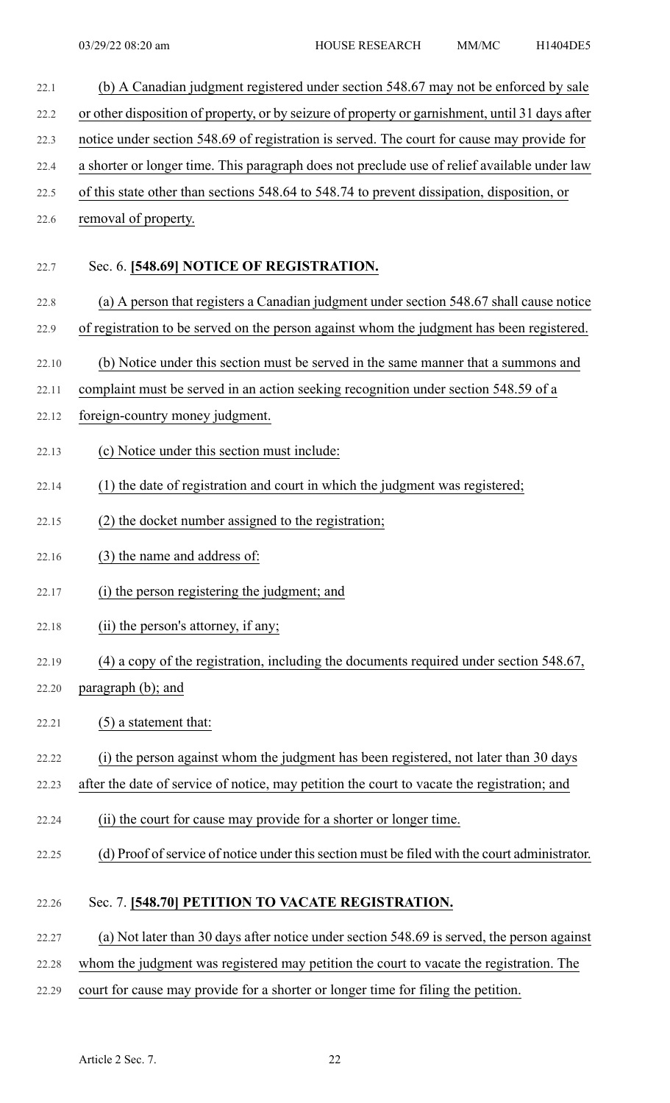22.1 (b) A Canadian judgment registered under section 548.67 may not be enforced by sale 22.2 or other disposition of property, or by seizure of property or garnishment, until 31 days after 22.3 notice under section 548.69 of registration is served. The court for cause may provide for 22.4 a shorter or longer time. This paragraph does not preclude use of relief available under law 22.5 of this state other than sections 548.64 to 548.74 to prevent dissipation, disposition, or 22.6 removal of property. 22.7 Sec. 6. **[548.69] NOTICE OF REGISTRATION.** 22.8 (a) A person that registers a Canadian judgment under section 548.67 shall cause notice 22.9 of registration to be served on the person against whom the judgment has been registered. 22.10 (b) Notice under this section must be served in the same manner that a summons and 22.11 complaint must be served in an action seeking recognition under section 548.59 of a 22.12 foreign-country money judgment. 22.13 (c) Notice under this section must include: 22.14 (1) the date of registration and court in which the judgment was registered; 22.15 (2) the docket number assigned to the registration; 22.16 (3) the name and address of: 22.17 (i) the person registering the judgment; and 22.18 (ii) the person's attorney, if any; 22.19 (4) a copy of the registration, including the documents required under section 548.67, 22.20 paragraph (b); and 22.21  $(5)$  a statement that: 22.22 (i) the person against whom the judgment has been registered, not later than 30 days 22.23 after the date of service of notice, may petition the court to vacate the registration; and 22.24 (ii) the court for cause may provide for a shorter or longer time. 22.25 (d) Proof of service of notice under this section must be filed with the court administrator. 22.26 Sec. 7. **[548.70] PETITION TO VACATE REGISTRATION.** 22.27 (a) Not later than 30 days after notice under section 548.69 is served, the person against 22.28 whom the judgment was registered may petition the court to vacate the registration. The 22.29 court for cause may provide for a shorter or longer time for filing the petition.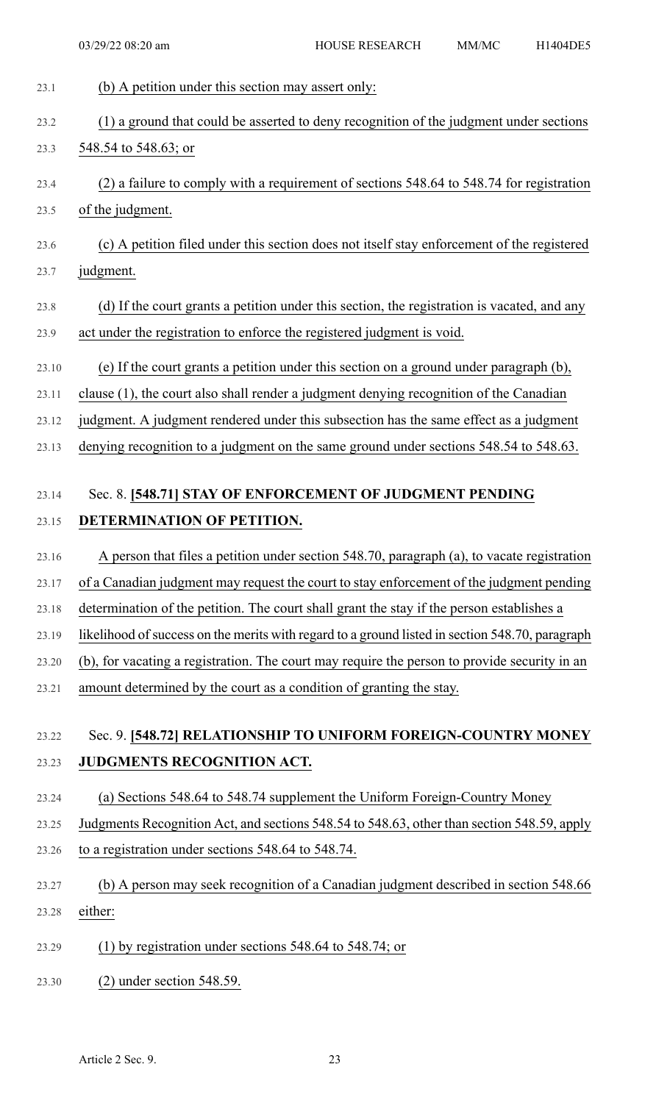| 23.1  | (b) A petition under this section may assert only:                                              |
|-------|-------------------------------------------------------------------------------------------------|
| 23.2  | (1) a ground that could be asserted to deny recognition of the judgment under sections          |
| 23.3  | 548.54 to 548.63; or                                                                            |
| 23.4  | (2) a failure to comply with a requirement of sections 548.64 to 548.74 for registration        |
| 23.5  | of the judgment.                                                                                |
| 23.6  | (c) A petition filed under this section does not itself stay enforcement of the registered      |
| 23.7  | judgment.                                                                                       |
| 23.8  | (d) If the court grants a petition under this section, the registration is vacated, and any     |
| 23.9  | act under the registration to enforce the registered judgment is void.                          |
| 23.10 | (e) If the court grants a petition under this section on a ground under paragraph (b),          |
| 23.11 | clause (1), the court also shall render a judgment denying recognition of the Canadian          |
| 23.12 | judgment. A judgment rendered under this subsection has the same effect as a judgment           |
| 23.13 | denying recognition to a judgment on the same ground under sections 548.54 to 548.63.           |
|       |                                                                                                 |
| 23.14 | Sec. 8. [548.71] STAY OF ENFORCEMENT OF JUDGMENT PENDING                                        |
| 23.15 | DETERMINATION OF PETITION.                                                                      |
| 23.16 | A person that files a petition under section 548.70, paragraph (a), to vacate registration      |
| 23.17 | of a Canadian judgment may request the court to stay enforcement of the judgment pending        |
| 23.18 | determination of the petition. The court shall grant the stay if the person establishes a       |
| 23.19 | likelihood of success on the merits with regard to a ground listed in section 548.70, paragraph |
| 23.20 | (b), for vacating a registration. The court may require the person to provide security in an    |
| 23.21 | amount determined by the court as a condition of granting the stay.                             |

## 23.22 Sec. 9. **[548.72] RELATIONSHIP TO UNIFORM FOREIGN-COUNTRY MONEY** 23.23 **JUDGMENTS RECOGNITION ACT.**

- 23.24 (a) Sections 548.64 to 548.74 supplement the Uniform Foreign-Country Money
- 23.25 Judgments Recognition Act, and sections 548.54 to 548.63, other than section 548.59, apply
- 23.26 to a registration under sections 548.64 to 548.74.
- 23.27 (b) A person may seek recognition of a Canadian judgment described in section 548.66 23.28 either:
- 23.29 (1) by registration under sections 548.64 to 548.74; or
- 23.30 (2) under section 548.59.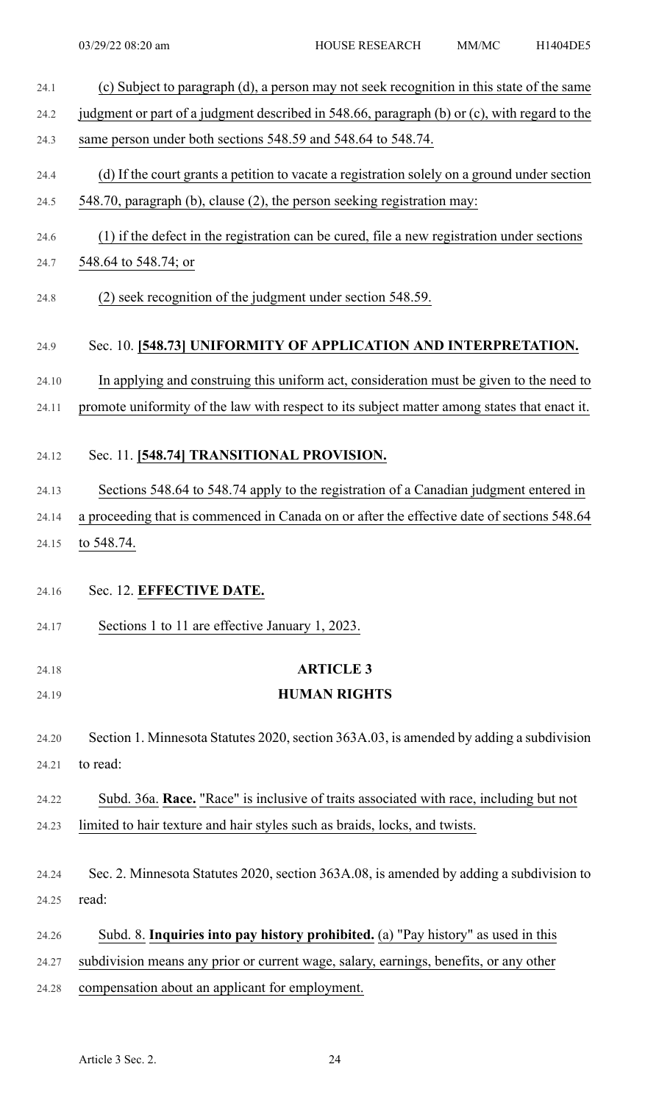| 24.1  | (c) Subject to paragraph (d), a person may not seek recognition in this state of the same    |
|-------|----------------------------------------------------------------------------------------------|
| 24.2  | judgment or part of a judgment described in 548.66, paragraph (b) or (c), with regard to the |
| 24.3  | same person under both sections 548.59 and 548.64 to 548.74.                                 |
| 24.4  | (d) If the court grants a petition to vacate a registration solely on a ground under section |
| 24.5  | 548.70, paragraph (b), clause (2), the person seeking registration may:                      |
| 24.6  | (1) if the defect in the registration can be cured, file a new registration under sections   |
| 24.7  | 548.64 to 548.74; or                                                                         |
| 24.8  | (2) seek recognition of the judgment under section 548.59.                                   |
| 24.9  | Sec. 10. [548.73] UNIFORMITY OF APPLICATION AND INTERPRETATION.                              |
| 24.10 | In applying and construing this uniform act, consideration must be given to the need to      |
| 24.11 | promote uniformity of the law with respect to its subject matter among states that enact it. |
| 24.12 | Sec. 11. [548.74] TRANSITIONAL PROVISION.                                                    |
| 24.13 | Sections 548.64 to 548.74 apply to the registration of a Canadian judgment entered in        |
| 24.14 | a proceeding that is commenced in Canada on or after the effective date of sections 548.64   |
| 24.15 | to 548.74.                                                                                   |
| 24.16 | Sec. 12. EFFECTIVE DATE.                                                                     |
| 24.17 | Sections 1 to 11 are effective January 1, 2023.                                              |
| 24.18 | <b>ARTICLE 3</b>                                                                             |
| 24.19 | <b>HUMAN RIGHTS</b>                                                                          |
|       |                                                                                              |
| 24.20 | Section 1. Minnesota Statutes 2020, section 363A.03, is amended by adding a subdivision      |
| 24.21 | to read:                                                                                     |
| 24.22 | Subd. 36a. Race. "Race" is inclusive of traits associated with race, including but not       |
| 24.23 | limited to hair texture and hair styles such as braids, locks, and twists.                   |
| 24.24 | Sec. 2. Minnesota Statutes 2020, section 363A.08, is amended by adding a subdivision to      |
| 24.25 | read:                                                                                        |
| 24.26 | Subd. 8. Inquiries into pay history prohibited. (a) "Pay history" as used in this            |
| 24.27 | subdivision means any prior or current wage, salary, earnings, benefits, or any other        |
| 24.28 | compensation about an applicant for employment.                                              |
|       |                                                                                              |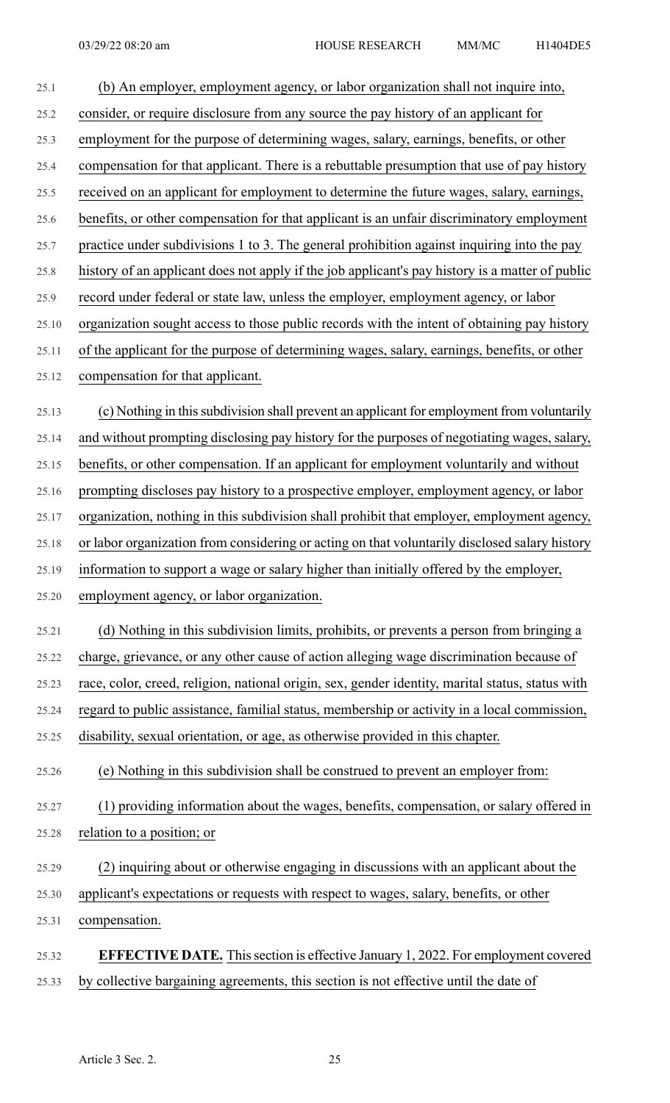| 25.1  | (b) An employer, employment agency, or labor organization shall not inquire into,                |
|-------|--------------------------------------------------------------------------------------------------|
| 25.2  | consider, or require disclosure from any source the pay history of an applicant for              |
| 25.3  | employment for the purpose of determining wages, salary, earnings, benefits, or other            |
| 25.4  | compensation for that applicant. There is a rebuttable presumption that use of pay history       |
| 25.5  | received on an applicant for employment to determine the future wages, salary, earnings,         |
| 25.6  | benefits, or other compensation for that applicant is an unfair discriminatory employment        |
| 25.7  | practice under subdivisions 1 to 3. The general prohibition against inquiring into the pay       |
| 25.8  | history of an applicant does not apply if the job applicant's pay history is a matter of public  |
| 25.9  | record under federal or state law, unless the employer, employment agency, or labor              |
| 25.10 | organization sought access to those public records with the intent of obtaining pay history      |
| 25.11 | of the applicant for the purpose of determining wages, salary, earnings, benefits, or other      |
| 25.12 | compensation for that applicant.                                                                 |
| 25.13 | (c) Nothing in this subdivision shall prevent an applicant for employment from voluntarily       |
| 25.14 | and without prompting disclosing pay history for the purposes of negotiating wages, salary,      |
| 25.15 | benefits, or other compensation. If an applicant for employment voluntarily and without          |
| 25.16 | prompting discloses pay history to a prospective employer, employment agency, or labor           |
| 25.17 | organization, nothing in this subdivision shall prohibit that employer, employment agency,       |
| 25.18 | or labor organization from considering or acting on that voluntarily disclosed salary history    |
| 25.19 | information to support a wage or salary higher than initially offered by the employer,           |
| 25.20 | employment agency, or labor organization.                                                        |
| 25.21 | (d) Nothing in this subdivision limits, prohibits, or prevents a person from bringing a          |
| 25.22 | charge, grievance, or any other cause of action alleging wage discrimination because of          |
| 25.23 | race, color, creed, religion, national origin, sex, gender identity, marital status, status with |
| 25.24 | regard to public assistance, familial status, membership or activity in a local commission,      |
| 25.25 | disability, sexual orientation, or age, as otherwise provided in this chapter.                   |
| 25.26 | (e) Nothing in this subdivision shall be construed to prevent an employer from:                  |
| 25.27 | (1) providing information about the wages, benefits, compensation, or salary offered in          |
| 25.28 | relation to a position; or                                                                       |
| 25.29 | (2) inquiring about or otherwise engaging in discussions with an applicant about the             |
| 25.30 | applicant's expectations or requests with respect to wages, salary, benefits, or other           |
| 25.31 | compensation.                                                                                    |
| 25.32 | <b>EFFECTIVE DATE.</b> This section is effective January 1, 2022. For employment covered         |
| 25.33 | by collective bargaining agreements, this section is not effective until the date of             |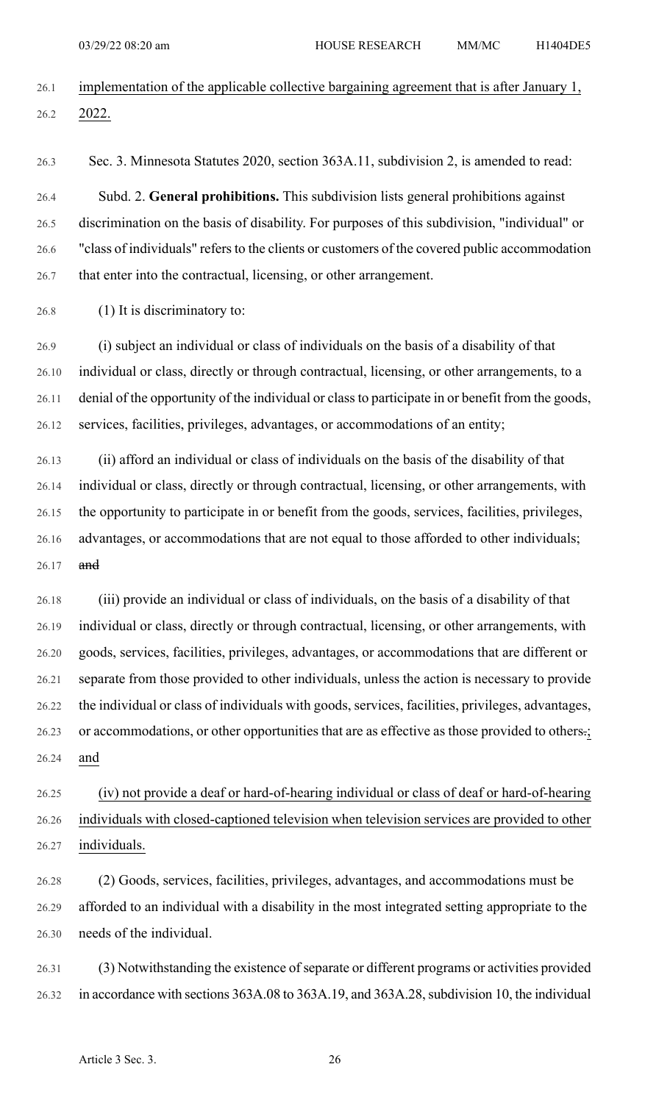- 26.1 implementation of the applicable collective bargaining agreement that is after January 1, 26.2 2022.
- 

26.3 Sec. 3. Minnesota Statutes 2020, section 363A.11, subdivision 2, is amended to read:

26.4 Subd. 2. **General prohibitions.** This subdivision lists general prohibitions against 26.5 discrimination on the basis of disability. For purposes of this subdivision, "individual" or 26.6 "class of individuals" refers to the clients or customers of the covered public accommodation 26.7 that enter into the contractual, licensing, or other arrangement.

26.8 (1) It is discriminatory to:

26.9 (i) subject an individual or class of individuals on the basis of a disability of that 26.10 individual or class, directly or through contractual, licensing, or other arrangements, to a 26.11 denial of the opportunity of the individual or classto participate in or benefit from the goods, 26.12 services, facilities, privileges, advantages, or accommodations of an entity;

26.13 (ii) afford an individual or class of individuals on the basis of the disability of that 26.14 individual or class, directly or through contractual, licensing, or other arrangements, with 26.15 the opportunity to participate in or benefit from the goods, services, facilities, privileges, 26.16 advantages, or accommodations that are not equal to those afforded to other individuals; 26.17 and

26.18 (iii) provide an individual or class of individuals, on the basis of a disability of that 26.19 individual or class, directly or through contractual, licensing, or other arrangements, with 26.20 goods, services, facilities, privileges, advantages, or accommodations that are different or 26.21 separate from those provided to other individuals, unless the action is necessary to provide 26.22 the individual or class of individuals with goods, services, facilities, privileges, advantages, 26.23 or accommodations, or other opportunities that are as effective as those provided to others.; 26.24 and

26.25 (iv) not provide a deaf or hard-of-hearing individual or class of deaf or hard-of-hearing 26.26 individuals with closed-captioned television when television services are provided to other 26.27 individuals.

26.28 (2) Goods, services, facilities, privileges, advantages, and accommodations must be 26.29 afforded to an individual with a disability in the most integrated setting appropriate to the 26.30 needs of the individual.

26.31 (3) Notwithstanding the existence of separate or different programs or activities provided 26.32 in accordance with sections 363A.08 to 363A.19, and 363A.28, subdivision 10, the individual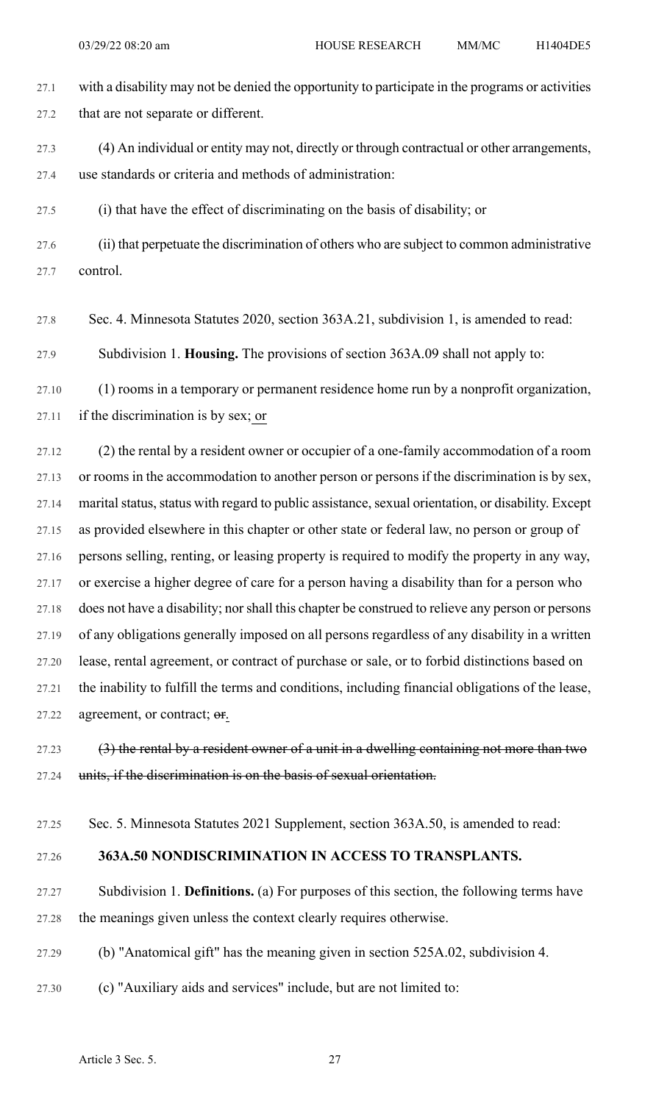27.1 with a disability may not be denied the opportunity to participate in the programs or activities 27.2 that are not separate or different. 27.3 (4) An individual or entity may not, directly or through contractual or other arrangements, 27.4 use standards or criteria and methods of administration: 27.5 (i) that have the effect of discriminating on the basis of disability; or 27.6 (ii) that perpetuate the discrimination of others who are subject to common administrative 27.7 control.

27.8 Sec. 4. Minnesota Statutes 2020, section 363A.21, subdivision 1, is amended to read:

27.9 Subdivision 1. **Housing.** The provisions of section 363A.09 shall not apply to:

27.10 (1) rooms in a temporary or permanent residence home run by a nonprofit organization, 27.11 if the discrimination is by sex; or

27.12 (2) the rental by a resident owner or occupier of a one-family accommodation of a room 27.13 or rooms in the accommodation to another person or persons if the discrimination is by sex, 27.14 marital status, status with regard to public assistance, sexual orientation, or disability. Except 27.15 as provided elsewhere in this chapter or other state or federal law, no person or group of 27.16 persons selling, renting, or leasing property is required to modify the property in any way, 27.17 or exercise a higher degree of care for a person having a disability than for a person who 27.18 does not have a disability; norshall this chapter be construed to relieve any person or persons 27.19 of any obligations generally imposed on all persons regardless of any disability in a written 27.20 lease, rental agreement, or contract of purchase or sale, or to forbid distinctions based on 27.21 the inability to fulfill the terms and conditions, including financial obligations of the lease, 27.22 agreement, or contract; or.

27.23  $(3)$  the rental by a resident owner of a unit in a dwelling containing not more than two 27.24 units, if the discrimination is on the basis of sexual orientation.

27.25 Sec. 5. Minnesota Statutes 2021 Supplement, section 363A.50, is amended to read:

## 27.26 **363A.50 NONDISCRIMINATION IN ACCESS TO TRANSPLANTS.**

27.27 Subdivision 1. **Definitions.** (a) For purposes of this section, the following terms have 27.28 the meanings given unless the context clearly requires otherwise.

27.29 (b) "Anatomical gift" has the meaning given in section 525A.02, subdivision 4.

27.30 (c) "Auxiliary aids and services" include, but are not limited to: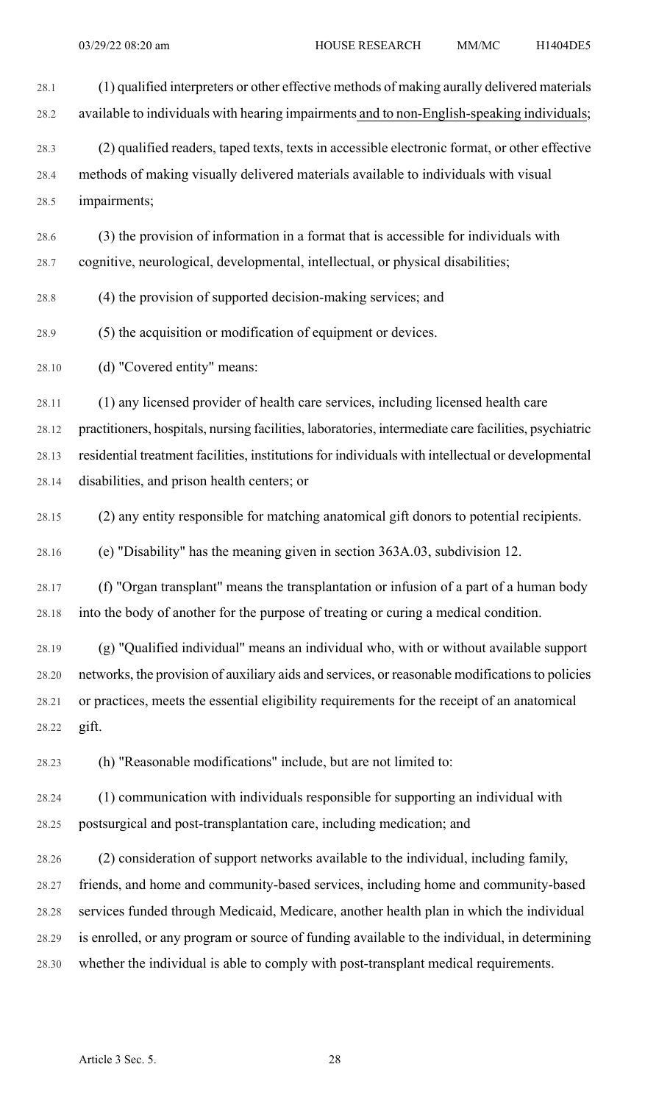28.1 (1) qualified interpreters or other effective methods of making aurally delivered materials 28.2 available to individuals with hearing impairments and to non-English-speaking individuals; 28.3 (2) qualified readers, taped texts, texts in accessible electronic format, or other effective 28.4 methods of making visually delivered materials available to individuals with visual 28.5 impairments; 28.6 (3) the provision of information in a format that is accessible for individuals with 28.7 cognitive, neurological, developmental, intellectual, or physical disabilities; 28.8 (4) the provision of supported decision-making services; and 28.9 (5) the acquisition or modification of equipment or devices. 28.10 (d) "Covered entity" means: 28.11 (1) any licensed provider of health care services, including licensed health care 28.12 practitioners, hospitals, nursing facilities, laboratories, intermediate care facilities, psychiatric 28.13 residential treatment facilities, institutions for individuals with intellectual or developmental 28.14 disabilities, and prison health centers; or 28.15 (2) any entity responsible for matching anatomical gift donors to potential recipients. 28.16 (e) "Disability" has the meaning given in section 363A.03, subdivision 12. 28.17 (f) "Organ transplant" means the transplantation or infusion of a part of a human body 28.18 into the body of another for the purpose of treating or curing a medical condition. 28.19 (g) "Qualified individual" means an individual who, with or without available support 28.20 networks, the provision of auxiliary aids and services, or reasonable modificationsto policies 28.21 or practices, meets the essential eligibility requirements for the receipt of an anatomical 28.22 gift.

28.23 (h) "Reasonable modifications" include, but are not limited to:

28.24 (1) communication with individuals responsible for supporting an individual with 28.25 postsurgical and post-transplantation care, including medication; and

28.26 (2) consideration of support networks available to the individual, including family, 28.27 friends, and home and community-based services, including home and community-based 28.28 services funded through Medicaid, Medicare, another health plan in which the individual 28.29 is enrolled, or any program or source of funding available to the individual, in determining 28.30 whether the individual is able to comply with post-transplant medical requirements.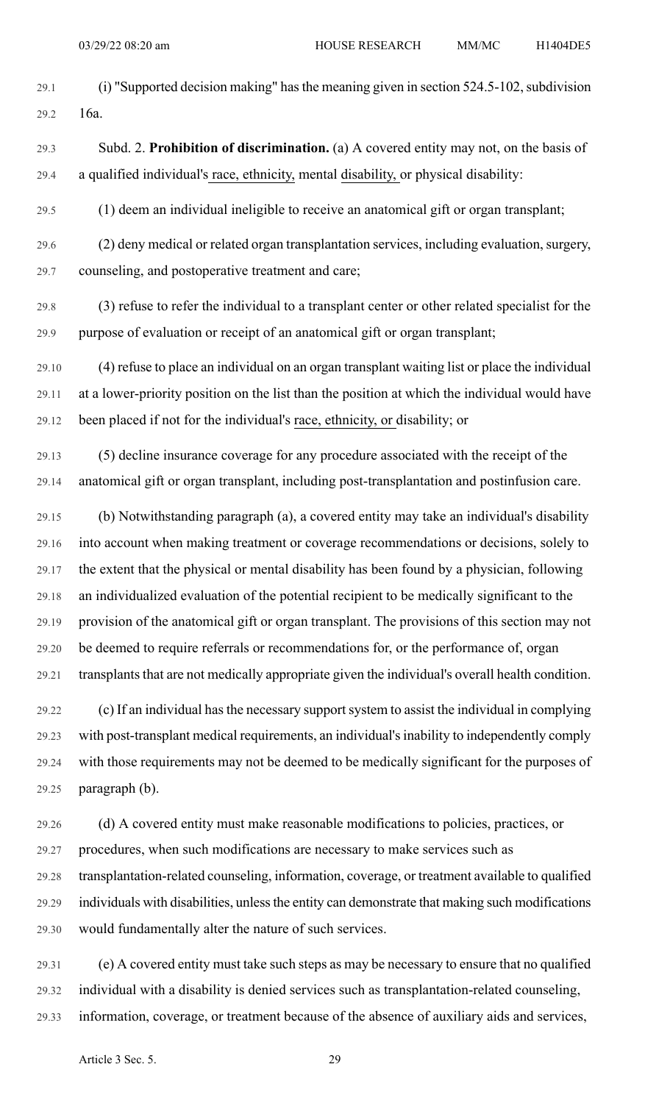- 29.1 (i) "Supported decision making" has the meaning given in section 524.5-102, subdivision 29.2 16a.
- 29.3 Subd. 2. **Prohibition of discrimination.** (a) A covered entity may not, on the basis of 29.4 a qualified individual's race, ethnicity, mental disability, or physical disability:
- 29.5 (1) deem an individual ineligible to receive an anatomical gift or organ transplant;
- 29.6 (2) deny medical or related organ transplantation services, including evaluation, surgery, 29.7 counseling, and postoperative treatment and care;
- 29.8 (3) refuse to refer the individual to a transplant center or other related specialist for the 29.9 purpose of evaluation or receipt of an anatomical gift or organ transplant;
- 29.10 (4) refuse to place an individual on an organ transplant waiting list or place the individual 29.11 at a lower-priority position on the list than the position at which the individual would have 29.12 been placed if not for the individual's race, ethnicity, or disability; or
- 29.13 (5) decline insurance coverage for any procedure associated with the receipt of the 29.14 anatomical gift or organ transplant, including post-transplantation and postinfusion care.
- 29.15 (b) Notwithstanding paragraph (a), a covered entity may take an individual's disability 29.16 into account when making treatment or coverage recommendations or decisions, solely to 29.17 the extent that the physical or mental disability has been found by a physician, following 29.18 an individualized evaluation of the potential recipient to be medically significant to the 29.19 provision of the anatomical gift or organ transplant. The provisions of this section may not 29.20 be deemed to require referrals or recommendations for, or the performance of, organ 29.21 transplants that are not medically appropriate given the individual's overall health condition.
- 29.22 (c) If an individual hasthe necessary supportsystem to assist the individual in complying 29.23 with post-transplant medical requirements, an individual'sinability to independently comply 29.24 with those requirements may not be deemed to be medically significant for the purposes of 29.25 paragraph (b).
- 29.26 (d) A covered entity must make reasonable modifications to policies, practices, or 29.27 procedures, when such modifications are necessary to make services such as 29.28 transplantation-related counseling, information, coverage, or treatment available to qualified 29.29 individuals with disabilities, unless the entity can demonstrate that making such modifications 29.30 would fundamentally alter the nature of such services.
- 29.31 (e) A covered entity must take such steps as may be necessary to ensure that no qualified 29.32 individual with a disability is denied services such as transplantation-related counseling, 29.33 information, coverage, or treatment because of the absence of auxiliary aids and services,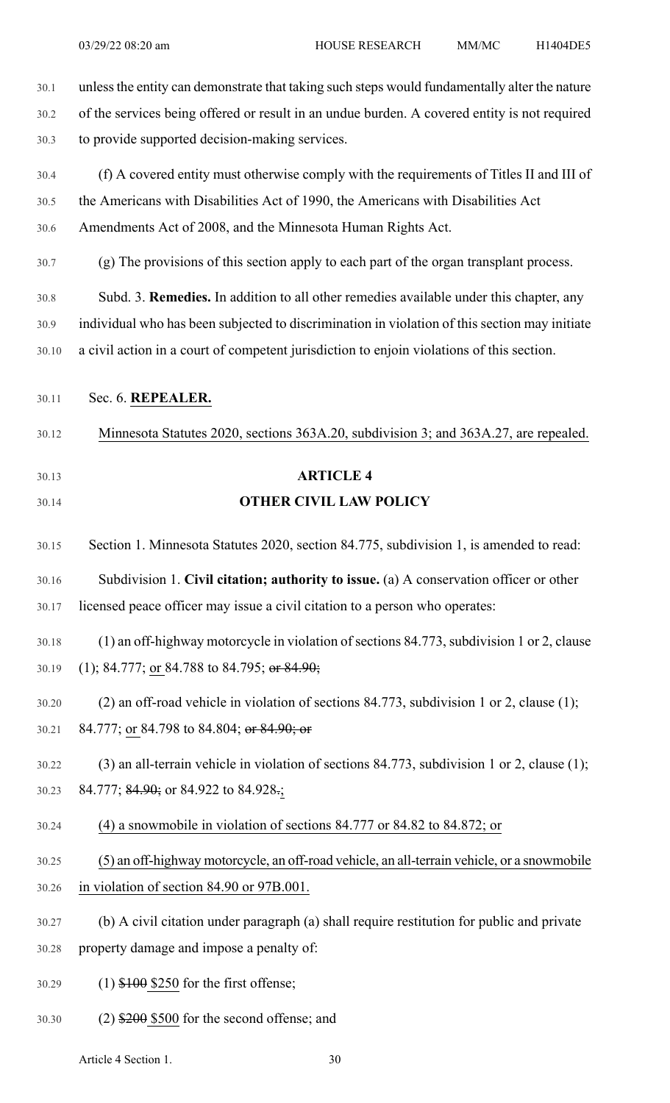30.1 unlessthe entity can demonstrate that taking such steps would fundamentally alter the nature 30.2 of the services being offered or result in an undue burden. A covered entity is not required 30.3 to provide supported decision-making services.

- 30.4 (f) A covered entity must otherwise comply with the requirements of Titles II and III of 30.5 the Americans with Disabilities Act of 1990, the Americans with Disabilities Act 30.6 Amendments Act of 2008, and the Minnesota Human Rights Act.
- 30.7 (g) The provisions of this section apply to each part of the organ transplant process.

30.8 Subd. 3. **Remedies.** In addition to all other remedies available under this chapter, any 30.9 individual who has been subjected to discrimination in violation of this section may initiate 30.10 a civil action in a court of competent jurisdiction to enjoin violations of this section.

30.11 Sec. 6. **REPEALER.**

30.12 Minnesota Statutes 2020, sections 363A.20, subdivision 3; and 363A.27, are repealed.

- 30.13 **ARTICLE 4**
- 

# 30.14 **OTHER CIVIL LAW POLICY**

30.15 Section 1. Minnesota Statutes 2020, section 84.775, subdivision 1, is amended to read:

30.16 Subdivision 1. **Civil citation; authority to issue.** (a) A conservation officer or other 30.17 licensed peace officer may issue a civil citation to a person who operates:

## 30.18 (1) an off-highway motorcycle in violation of sections 84.773, subdivision 1 or 2, clause 30.19 (1); 84.777; or 84.788 to 84.795; or 84.90;

30.20 (2) an off-road vehicle in violation of sections 84.773, subdivision 1 or 2, clause (1); 30.21 84.777; or 84.798 to 84.804; or 84.90; or

## 30.22 (3) an all-terrain vehicle in violation of sections 84.773, subdivision 1 or 2, clause (1); 30.23 84.777; 84.90; or 84.922 to 84.928.;

- 30.24 (4) a snowmobile in violation of sections 84.777 or 84.82 to 84.872; or
- 30.25 (5) an off-highway motorcycle, an off-road vehicle, an all-terrain vehicle, or a snowmobile
- 30.26 in violation of section 84.90 or 97B.001.
- 30.27 (b) A civil citation under paragraph (a) shall require restitution for public and private
- 30.28 property damage and impose a penalty of:
- 30.29 (1) \$100 \$250 for the first offense;
- 30.30 (2) \$200 \$500 for the second offense; and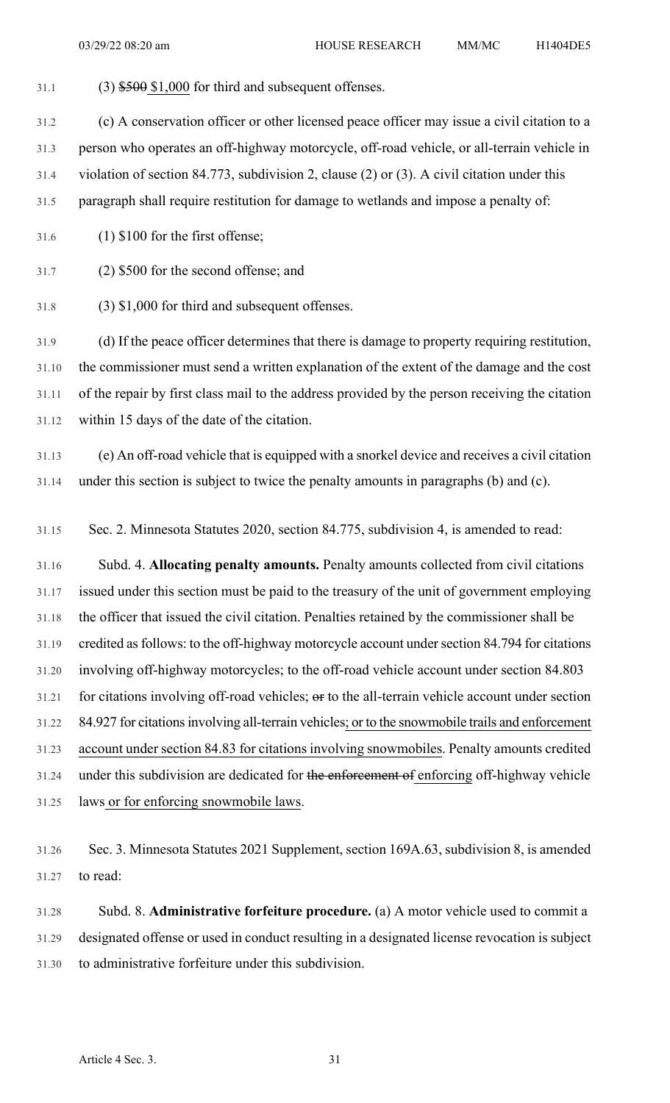31.1 (3)  $$500$  \$1,000 for third and subsequent offenses.

31.2 (c) A conservation officer or other licensed peace officer may issue a civil citation to a

31.3 person who operates an off-highway motorcycle, off-road vehicle, or all-terrain vehicle in

31.4 violation of section 84.773, subdivision 2, clause (2) or (3). A civil citation under this

31.5 paragraph shall require restitution for damage to wetlands and impose a penalty of:

31.6 (1) \$100 for the first offense;

31.7 (2) \$500 for the second offense; and

31.8 (3) \$1,000 for third and subsequent offenses.

31.9 (d) If the peace officer determines that there is damage to property requiring restitution, 31.10 the commissioner must send a written explanation of the extent of the damage and the cost 31.11 of the repair by first class mail to the address provided by the person receiving the citation 31.12 within 15 days of the date of the citation.

31.13 (e) An off-road vehicle that is equipped with a snorkel device and receives a civil citation 31.14 under this section is subject to twice the penalty amounts in paragraphs (b) and (c).

31.15 Sec. 2. Minnesota Statutes 2020, section 84.775, subdivision 4, is amended to read:

31.16 Subd. 4. **Allocating penalty amounts.** Penalty amounts collected from civil citations 31.17 issued under this section must be paid to the treasury of the unit of government employing 31.18 the officer that issued the civil citation. Penalties retained by the commissioner shall be 31.19 credited asfollows: to the off-highway motorcycle account undersection 84.794 for citations 31.20 involving off-highway motorcycles; to the off-road vehicle account under section 84.803  $31.21$  for citations involving off-road vehicles;  $\theta$ r to the all-terrain vehicle account under section 31.22 84.927 for citationsinvolving all-terrain vehicles; or to the snowmobile trails and enforcement 31.23 account under section 84.83 for citations involving snowmobiles. Penalty amounts credited 31.24 under this subdivision are dedicated for the enforcement of enforcing off-highway vehicle 31.25 laws or for enforcing snowmobile laws.

31.26 Sec. 3. Minnesota Statutes 2021 Supplement, section 169A.63, subdivision 8, is amended 31.27 to read:

31.28 Subd. 8. **Administrative forfeiture procedure.** (a) A motor vehicle used to commit a 31.29 designated offense or used in conduct resulting in a designated license revocation is subject 31.30 to administrative forfeiture under this subdivision.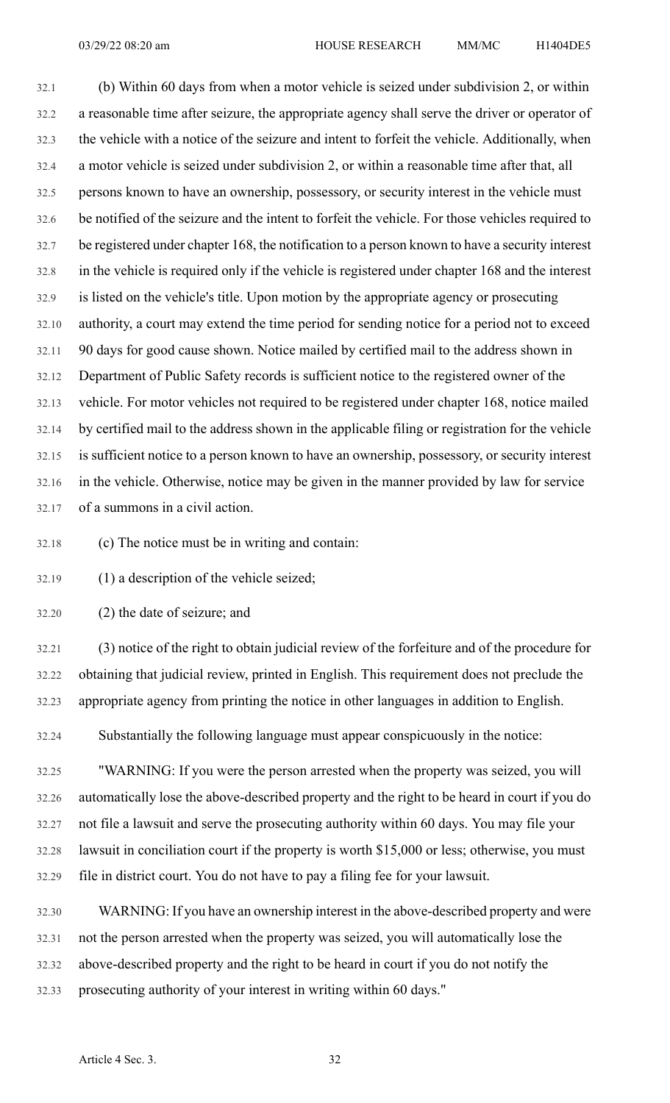32.1 (b) Within 60 days from when a motor vehicle is seized under subdivision 2, or within 32.2 a reasonable time after seizure, the appropriate agency shall serve the driver or operator of 32.3 the vehicle with a notice of the seizure and intent to forfeit the vehicle. Additionally, when 32.4 a motor vehicle is seized under subdivision 2, or within a reasonable time after that, all 32.5 persons known to have an ownership, possessory, or security interest in the vehicle must 32.6 be notified of the seizure and the intent to forfeit the vehicle. For those vehicles required to 32.7 be registered under chapter 168, the notification to a person known to have a security interest 32.8 in the vehicle is required only if the vehicle is registered under chapter 168 and the interest 32.9 is listed on the vehicle's title. Upon motion by the appropriate agency or prosecuting 32.10 authority, a court may extend the time period for sending notice for a period not to exceed 32.11 90 days for good cause shown. Notice mailed by certified mail to the address shown in 32.12 Department of Public Safety records is sufficient notice to the registered owner of the 32.13 vehicle. For motor vehicles not required to be registered under chapter 168, notice mailed 32.14 by certified mail to the address shown in the applicable filing or registration for the vehicle 32.15 is sufficient notice to a person known to have an ownership, possessory, or security interest 32.16 in the vehicle. Otherwise, notice may be given in the manner provided by law for service 32.17 of a summons in a civil action.

32.18 (c) The notice must be in writing and contain:

32.19 (1) a description of the vehicle seized;

32.20 (2) the date of seizure; and

32.21 (3) notice of the right to obtain judicial review of the forfeiture and of the procedure for 32.22 obtaining that judicial review, printed in English. This requirement does not preclude the 32.23 appropriate agency from printing the notice in other languages in addition to English.

32.24 Substantially the following language must appear conspicuously in the notice:

32.25 "WARNING: If you were the person arrested when the property was seized, you will 32.26 automatically lose the above-described property and the right to be heard in court if you do 32.27 not file a lawsuit and serve the prosecuting authority within 60 days. You may file your 32.28 lawsuit in conciliation court if the property is worth \$15,000 or less; otherwise, you must 32.29 file in district court. You do not have to pay a filing fee for your lawsuit.

32.30 WARNING: If you have an ownership interest in the above-described property and were 32.31 not the person arrested when the property was seized, you will automatically lose the 32.32 above-described property and the right to be heard in court if you do not notify the 32.33 prosecuting authority of your interest in writing within 60 days."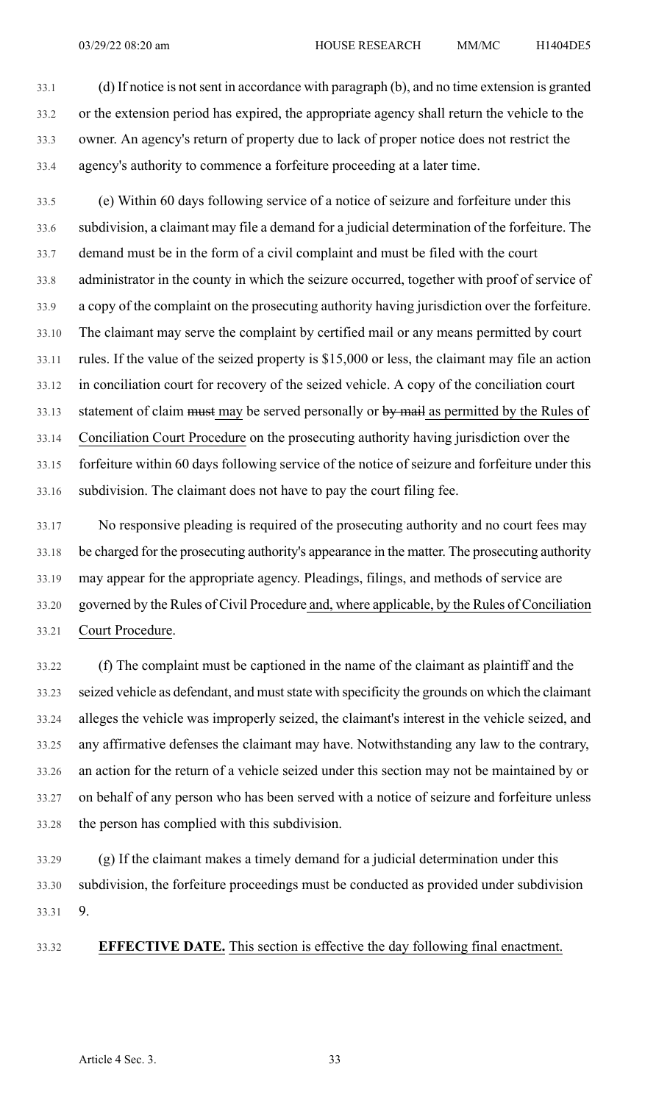33.1 (d) If notice is notsent in accordance with paragraph (b), and no time extension is granted 33.2 or the extension period has expired, the appropriate agency shall return the vehicle to the 33.3 owner. An agency's return of property due to lack of proper notice does not restrict the 33.4 agency's authority to commence a forfeiture proceeding at a later time.

33.5 (e) Within 60 days following service of a notice of seizure and forfeiture under this 33.6 subdivision, a claimant may file a demand for a judicial determination of the forfeiture. The 33.7 demand must be in the form of a civil complaint and must be filed with the court 33.8 administrator in the county in which the seizure occurred, together with proof of service of 33.9 a copy of the complaint on the prosecuting authority having jurisdiction over the forfeiture. 33.10 The claimant may serve the complaint by certified mail or any means permitted by court 33.11 rules. If the value of the seized property is \$15,000 or less, the claimant may file an action 33.12 in conciliation court for recovery of the seized vehicle. A copy of the conciliation court 33.13 statement of claim must may be served personally or by mail as permitted by the Rules of 33.14 Conciliation Court Procedure on the prosecuting authority having jurisdiction over the 33.15 forfeiture within 60 days following service of the notice of seizure and forfeiture under this 33.16 subdivision. The claimant does not have to pay the court filing fee.

33.17 No responsive pleading is required of the prosecuting authority and no court fees may 33.18 be charged for the prosecuting authority's appearance in the matter. The prosecuting authority 33.19 may appear for the appropriate agency. Pleadings, filings, and methods of service are 33.20 governed by the Rules of Civil Procedure and, where applicable, by the Rules of Conciliation 33.21 Court Procedure.

33.22 (f) The complaint must be captioned in the name of the claimant as plaintiff and the 33.23 seized vehicle as defendant, and must state with specificity the grounds on which the claimant 33.24 alleges the vehicle was improperly seized, the claimant's interest in the vehicle seized, and 33.25 any affirmative defenses the claimant may have. Notwithstanding any law to the contrary, 33.26 an action for the return of a vehicle seized under this section may not be maintained by or 33.27 on behalf of any person who has been served with a notice of seizure and forfeiture unless 33.28 the person has complied with this subdivision.

33.29 (g) If the claimant makes a timely demand for a judicial determination under this 33.30 subdivision, the forfeiture proceedings must be conducted as provided under subdivision 33.31 9.

33.32 **EFFECTIVE DATE.** This section is effective the day following final enactment.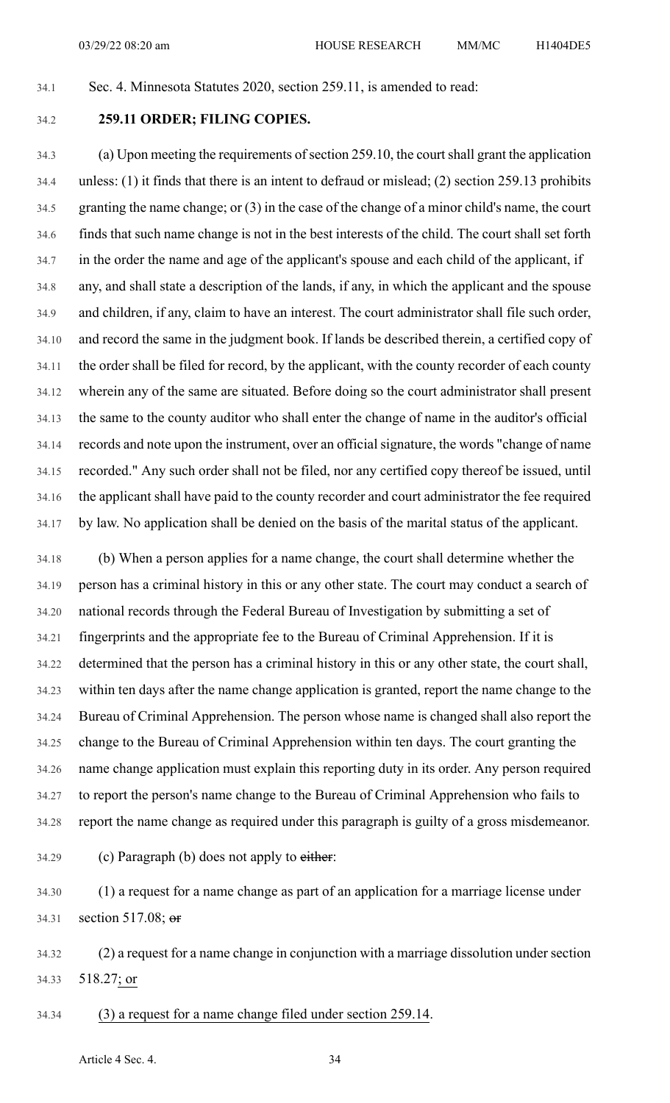34.1 Sec. 4. Minnesota Statutes 2020, section 259.11, is amended to read:

## 34.2 **259.11 ORDER; FILING COPIES.**

34.3 (a) Upon meeting the requirements of section 259.10, the court shall grant the application 34.4 unless: (1) it finds that there is an intent to defraud or mislead; (2) section 259.13 prohibits 34.5 granting the name change; or (3) in the case of the change of a minor child's name, the court 34.6 finds that such name change is not in the best interests of the child. The court shall set forth 34.7 in the order the name and age of the applicant's spouse and each child of the applicant, if 34.8 any, and shall state a description of the lands, if any, in which the applicant and the spouse 34.9 and children, if any, claim to have an interest. The court administrator shall file such order, 34.10 and record the same in the judgment book. If lands be described therein, a certified copy of 34.11 the order shall be filed for record, by the applicant, with the county recorder of each county 34.12 wherein any of the same are situated. Before doing so the court administrator shall present 34.13 the same to the county auditor who shall enter the change of name in the auditor's official 34.14 records and note upon the instrument, over an official signature, the words "change of name 34.15 recorded." Any such order shall not be filed, nor any certified copy thereof be issued, until 34.16 the applicant shall have paid to the county recorder and court administrator the fee required 34.17 by law. No application shall be denied on the basis of the marital status of the applicant.

34.18 (b) When a person applies for a name change, the court shall determine whether the 34.19 person has a criminal history in this or any other state. The court may conduct a search of 34.20 national records through the Federal Bureau of Investigation by submitting a set of 34.21 fingerprints and the appropriate fee to the Bureau of Criminal Apprehension. If it is 34.22 determined that the person has a criminal history in this or any other state, the court shall, 34.23 within ten days after the name change application is granted, report the name change to the 34.24 Bureau of Criminal Apprehension. The person whose name is changed shall also report the 34.25 change to the Bureau of Criminal Apprehension within ten days. The court granting the 34.26 name change application must explain this reporting duty in its order. Any person required 34.27 to report the person's name change to the Bureau of Criminal Apprehension who fails to 34.28 report the name change as required under this paragraph is guilty of a gross misdemeanor.

 $34.29$  (c) Paragraph (b) does not apply to either:

34.30 (1) a request for a name change as part of an application for a marriage license under 34.31 section 517.08; or

34.32 (2) a request for a name change in conjunction with a marriage dissolution under section 34.33 518.27; or

34.34 (3) a request for a name change filed under section 259.14.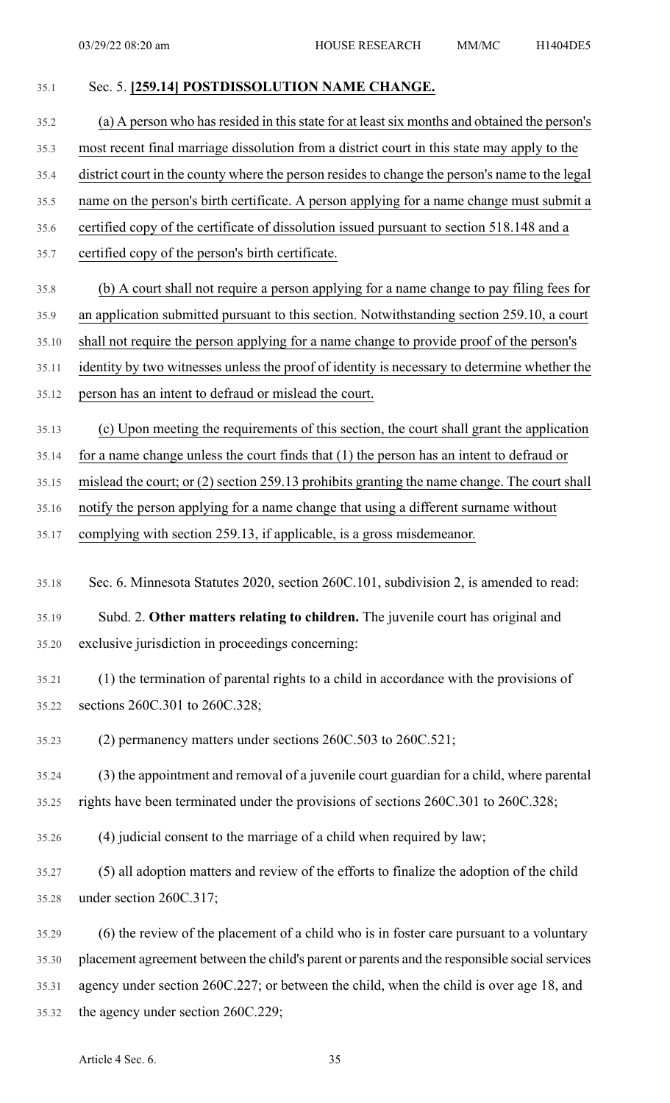- 35.1 Sec. 5. **[259.14] POSTDISSOLUTION NAME CHANGE.** 35.2 (a) A person who has resided in this state for at least six months and obtained the person's 35.3 most recent final marriage dissolution from a district court in this state may apply to the 35.4 district court in the county where the person resides to change the person's name to the legal 35.5 name on the person's birth certificate. A person applying for a name change must submit a 35.6 certified copy of the certificate of dissolution issued pursuant to section 518.148 and a 35.7 certified copy of the person's birth certificate. 35.8 (b) A court shall not require a person applying for a name change to pay filing fees for 35.9 an application submitted pursuant to this section. Notwithstanding section 259.10, a court 35.10 shall not require the person applying for a name change to provide proof of the person's 35.11 identity by two witnesses unless the proof of identity is necessary to determine whether the 35.12 person has an intent to defraud or mislead the court. 35.13 (c) Upon meeting the requirements of this section, the court shall grant the application 35.14 for a name change unless the court finds that (1) the person has an intent to defraud or 35.15 mislead the court; or (2) section 259.13 prohibits granting the name change. The court shall 35.16 notify the person applying for a name change that using a different surname without 35.17 complying with section 259.13, if applicable, is a gross misdemeanor. 35.18 Sec. 6. Minnesota Statutes 2020, section 260C.101, subdivision 2, is amended to read: 35.19 Subd. 2. **Other matters relating to children.** The juvenile court has original and 35.20 exclusive jurisdiction in proceedings concerning: 35.21 (1) the termination of parental rights to a child in accordance with the provisions of 35.22 sections 260C.301 to 260C.328; 35.23 (2) permanency matters under sections 260C.503 to 260C.521; 35.24 (3) the appointment and removal of a juvenile court guardian for a child, where parental 35.25 rights have been terminated under the provisions of sections 260C.301 to 260C.328; 35.26 (4) judicial consent to the marriage of a child when required by law; 35.27 (5) all adoption matters and review of the efforts to finalize the adoption of the child 35.28 under section 260C.317; 35.29 (6) the review of the placement of a child who is in foster care pursuant to a voluntary 35.30 placement agreement between the child's parent or parents and the responsible social services 35.31 agency under section 260C.227; or between the child, when the child is over age 18, and
- 35.32 the agency under section 260C.229;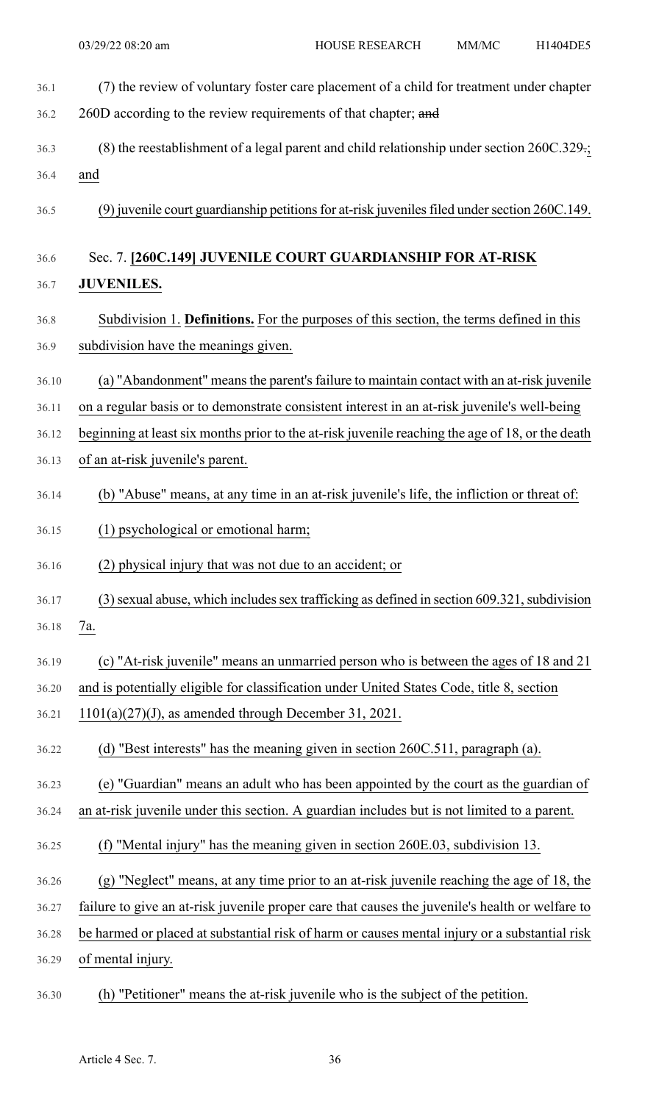| 36.1  | (7) the review of voluntary foster care placement of a child for treatment under chapter         |
|-------|--------------------------------------------------------------------------------------------------|
| 36.2  | 260D according to the review requirements of that chapter; and                                   |
| 36.3  | $(8)$ the reestablishment of a legal parent and child relationship under section 260C.329-;      |
| 36.4  | and                                                                                              |
| 36.5  | (9) juvenile court guardianship petitions for at-risk juveniles filed under section 260C.149.    |
| 36.6  | Sec. 7. [260C.149] JUVENILE COURT GUARDIANSHIP FOR AT-RISK                                       |
| 36.7  | <b>JUVENILES.</b>                                                                                |
| 36.8  | Subdivision 1. <b>Definitions.</b> For the purposes of this section, the terms defined in this   |
| 36.9  | subdivision have the meanings given.                                                             |
| 36.10 | (a) "Abandonment" means the parent's failure to maintain contact with an at-risk juvenile        |
| 36.11 | on a regular basis or to demonstrate consistent interest in an at-risk juvenile's well-being     |
| 36.12 | beginning at least six months prior to the at-risk juvenile reaching the age of 18, or the death |
| 36.13 | of an at-risk juvenile's parent.                                                                 |
| 36.14 | (b) "Abuse" means, at any time in an at-risk juvenile's life, the infliction or threat of:       |
| 36.15 | (1) psychological or emotional harm;                                                             |
| 36.16 | (2) physical injury that was not due to an accident; or                                          |
| 36.17 | (3) sexual abuse, which includes sex trafficking as defined in section 609.321, subdivision      |
| 36.18 | 7a.                                                                                              |
| 36.19 | (c) "At-risk juvenile" means an unmarried person who is between the ages of 18 and 21            |
| 36.20 | and is potentially eligible for classification under United States Code, title 8, section        |
| 36.21 | $1101(a)(27)(J)$ , as amended through December 31, 2021.                                         |
| 36.22 | (d) "Best interests" has the meaning given in section 260C.511, paragraph (a).                   |
| 36.23 | (e) "Guardian" means an adult who has been appointed by the court as the guardian of             |
| 36.24 | an at-risk juvenile under this section. A guardian includes but is not limited to a parent.      |
| 36.25 | (f) "Mental injury" has the meaning given in section 260E.03, subdivision 13.                    |
| 36.26 | (g) "Neglect" means, at any time prior to an at-risk juvenile reaching the age of 18, the        |
| 36.27 | failure to give an at-risk juvenile proper care that causes the juvenile's health or welfare to  |
| 36.28 | be harmed or placed at substantial risk of harm or causes mental injury or a substantial risk    |
| 36.29 | of mental injury.                                                                                |
|       |                                                                                                  |

36.30 (h) "Petitioner" means the at-risk juvenile who is the subject of the petition.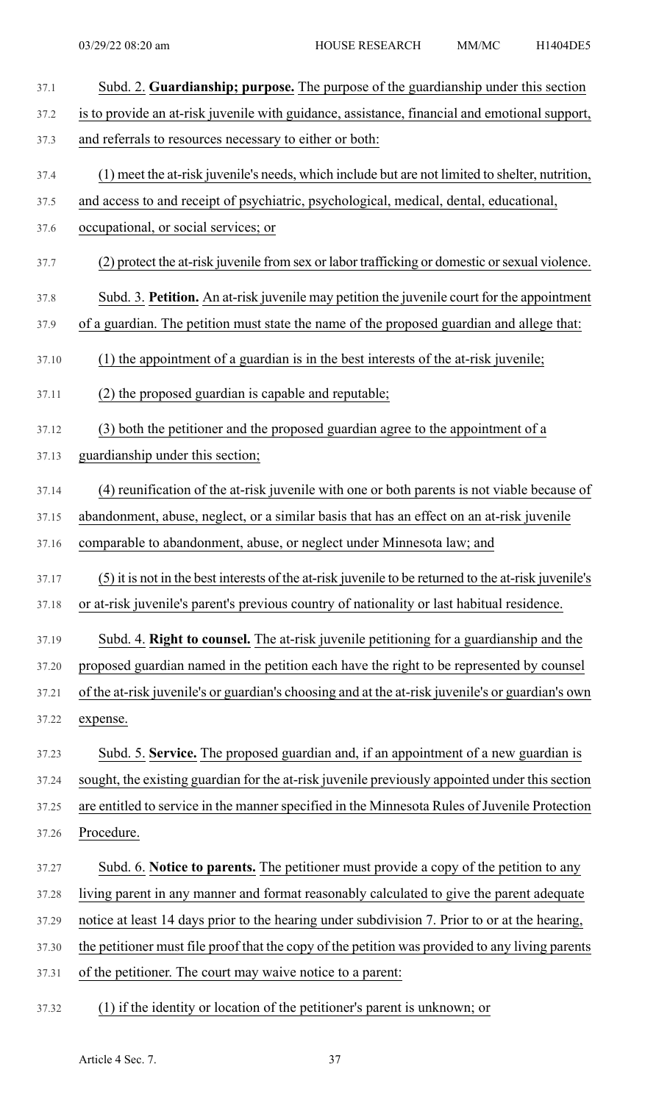| 37.1  | Subd. 2. Guardianship; purpose. The purpose of the guardianship under this section                   |
|-------|------------------------------------------------------------------------------------------------------|
| 37.2  | is to provide an at-risk juvenile with guidance, assistance, financial and emotional support,        |
| 37.3  | and referrals to resources necessary to either or both:                                              |
| 37.4  | (1) meet the at-risk juvenile's needs, which include but are not limited to shelter, nutrition,      |
| 37.5  | and access to and receipt of psychiatric, psychological, medical, dental, educational,               |
| 37.6  | occupational, or social services; or                                                                 |
| 37.7  | (2) protect the at-risk juvenile from sex or labor trafficking or domestic or sexual violence.       |
| 37.8  | Subd. 3. Petition. An at-risk juvenile may petition the juvenile court for the appointment           |
| 37.9  | of a guardian. The petition must state the name of the proposed guardian and allege that:            |
| 37.10 | (1) the appointment of a guardian is in the best interests of the at-risk juvenile;                  |
| 37.11 | (2) the proposed guardian is capable and reputable;                                                  |
| 37.12 | (3) both the petitioner and the proposed guardian agree to the appointment of a                      |
| 37.13 | guardianship under this section;                                                                     |
| 37.14 | (4) reunification of the at-risk juvenile with one or both parents is not viable because of          |
| 37.15 | abandonment, abuse, neglect, or a similar basis that has an effect on an at-risk juvenile            |
| 37.16 | comparable to abandonment, abuse, or neglect under Minnesota law; and                                |
| 37.17 | (5) it is not in the best interests of the at-risk juvenile to be returned to the at-risk juvenile's |
| 37.18 | or at-risk juvenile's parent's previous country of nationality or last habitual residence.           |
| 37.19 | Subd. 4. Right to counsel. The at-risk juvenile petitioning for a guardianship and the               |
| 37.20 | proposed guardian named in the petition each have the right to be represented by counsel             |
| 37.21 | of the at-risk juvenile's or guardian's choosing and at the at-risk juvenile's or guardian's own     |
| 37.22 | expense.                                                                                             |
| 37.23 | Subd. 5. Service. The proposed guardian and, if an appointment of a new guardian is                  |
| 37.24 | sought, the existing guardian for the at-risk juvenile previously appointed under this section       |
| 37.25 | are entitled to service in the manner specified in the Minnesota Rules of Juvenile Protection        |
| 37.26 | Procedure.                                                                                           |
| 37.27 | Subd. 6. Notice to parents. The petitioner must provide a copy of the petition to any                |
| 37.28 | living parent in any manner and format reasonably calculated to give the parent adequate             |
| 37.29 | notice at least 14 days prior to the hearing under subdivision 7. Prior to or at the hearing,        |
| 37.30 | the petitioner must file proof that the copy of the petition was provided to any living parents      |
| 37.31 | of the petitioner. The court may waive notice to a parent:                                           |
| 37.32 | (1) if the identity or location of the petitioner's parent is unknown; or                            |

Article 4 Sec. 7. 37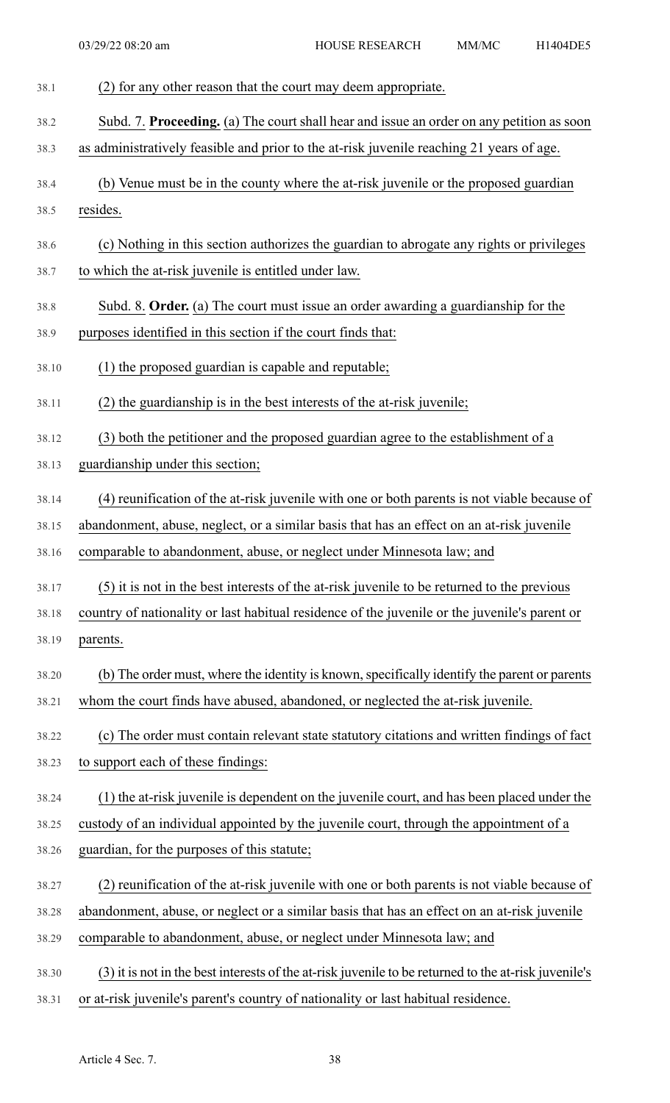| 38.1  | (2) for any other reason that the court may deem appropriate.                                        |
|-------|------------------------------------------------------------------------------------------------------|
| 38.2  | Subd. 7. Proceeding. (a) The court shall hear and issue an order on any petition as soon             |
| 38.3  | as administratively feasible and prior to the at-risk juvenile reaching 21 years of age.             |
| 38.4  | (b) Venue must be in the county where the at-risk juvenile or the proposed guardian                  |
| 38.5  | resides.                                                                                             |
| 38.6  | (c) Nothing in this section authorizes the guardian to abrogate any rights or privileges             |
| 38.7  | to which the at-risk juvenile is entitled under law.                                                 |
| 38.8  | Subd. 8. Order. (a) The court must issue an order awarding a guardianship for the                    |
| 38.9  | purposes identified in this section if the court finds that:                                         |
| 38.10 | (1) the proposed guardian is capable and reputable;                                                  |
| 38.11 | (2) the guardianship is in the best interests of the at-risk juvenile;                               |
| 38.12 | (3) both the petitioner and the proposed guardian agree to the establishment of a                    |
| 38.13 | guardianship under this section;                                                                     |
| 38.14 | (4) reunification of the at-risk juvenile with one or both parents is not viable because of          |
| 38.15 | abandonment, abuse, neglect, or a similar basis that has an effect on an at-risk juvenile            |
| 38.16 | comparable to abandonment, abuse, or neglect under Minnesota law; and                                |
| 38.17 | (5) it is not in the best interests of the at-risk juvenile to be returned to the previous           |
| 38.18 | country of nationality or last habitual residence of the juvenile or the juvenile's parent or        |
| 38.19 | parents.                                                                                             |
| 38.20 | (b) The order must, where the identity is known, specifically identify the parent or parents         |
| 38.21 | whom the court finds have abused, abandoned, or neglected the at-risk juvenile.                      |
| 38.22 | (c) The order must contain relevant state statutory citations and written findings of fact           |
| 38.23 | to support each of these findings:                                                                   |
| 38.24 | (1) the at-risk juvenile is dependent on the juvenile court, and has been placed under the           |
| 38.25 | custody of an individual appointed by the juvenile court, through the appointment of a               |
| 38.26 | guardian, for the purposes of this statute;                                                          |
| 38.27 | (2) reunification of the at-risk juvenile with one or both parents is not viable because of          |
| 38.28 | abandonment, abuse, or neglect or a similar basis that has an effect on an at-risk juvenile          |
| 38.29 | comparable to abandonment, abuse, or neglect under Minnesota law; and                                |
| 38.30 | (3) it is not in the best interests of the at-risk juvenile to be returned to the at-risk juvenile's |
| 38.31 | or at-risk juvenile's parent's country of nationality or last habitual residence.                    |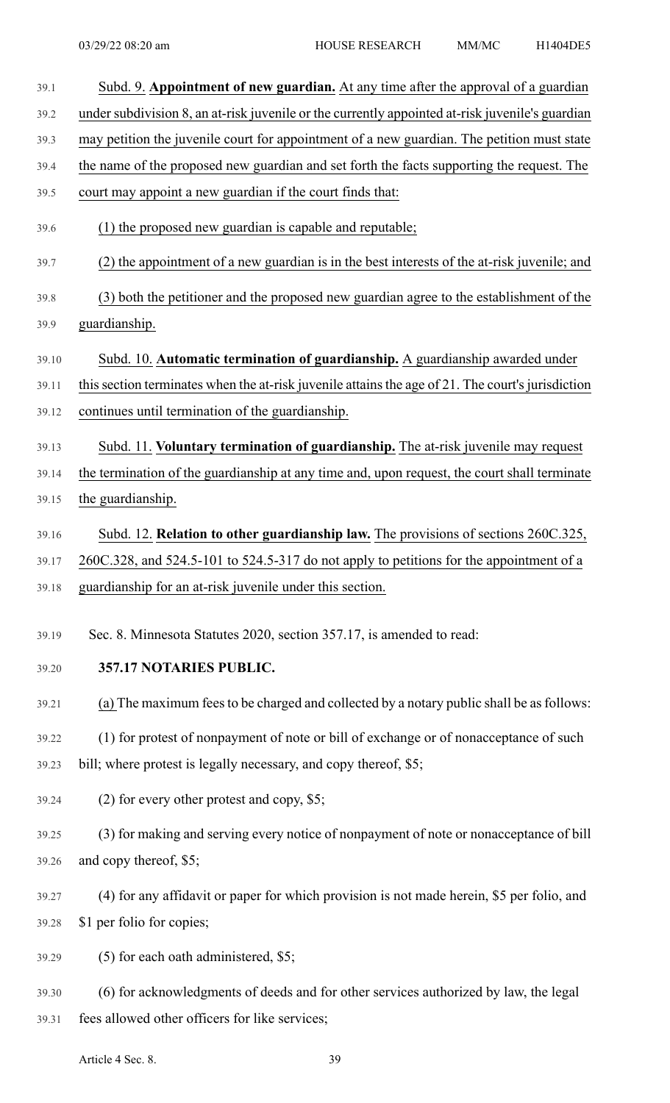| 39.1  | Subd. 9. Appointment of new guardian. At any time after the approval of a guardian                |
|-------|---------------------------------------------------------------------------------------------------|
| 39.2  | under subdivision 8, an at-risk juvenile or the currently appointed at-risk juvenile's guardian   |
| 39.3  | may petition the juvenile court for appointment of a new guardian. The petition must state        |
| 39.4  | the name of the proposed new guardian and set forth the facts supporting the request. The         |
| 39.5  | court may appoint a new guardian if the court finds that:                                         |
| 39.6  | (1) the proposed new guardian is capable and reputable;                                           |
| 39.7  | (2) the appointment of a new guardian is in the best interests of the at-risk juvenile; and       |
| 39.8  | (3) both the petitioner and the proposed new guardian agree to the establishment of the           |
| 39.9  | guardianship.                                                                                     |
| 39.10 | Subd. 10. Automatic termination of guardianship. A guardianship awarded under                     |
| 39.11 | this section terminates when the at-risk juvenile attains the age of 21. The court's jurisdiction |
| 39.12 | continues until termination of the guardianship.                                                  |
| 39.13 | Subd. 11. Voluntary termination of guardianship. The at-risk juvenile may request                 |
| 39.14 | the termination of the guardianship at any time and, upon request, the court shall terminate      |
| 39.15 | the guardianship.                                                                                 |
| 39.16 | Subd. 12. Relation to other guardianship law. The provisions of sections 260C.325,                |
| 39.17 | 260C.328, and 524.5-101 to 524.5-317 do not apply to petitions for the appointment of a           |
| 39.18 | guardianship for an at-risk juvenile under this section.                                          |
| 39.19 | Sec. 8. Minnesota Statutes 2020, section 357.17, is amended to read:                              |
|       |                                                                                                   |
| 39.20 | 357.17 NOTARIES PUBLIC.                                                                           |
| 39.21 | (a) The maximum fees to be charged and collected by a notary public shall be as follows:          |
| 39.22 | (1) for protest of nonpayment of note or bill of exchange or of nonacceptance of such             |
| 39.23 | bill; where protest is legally necessary, and copy thereof, \$5;                                  |
| 39.24 | $(2)$ for every other protest and copy, \$5;                                                      |
| 39.25 | (3) for making and serving every notice of nonpayment of note or nonacceptance of bill            |
| 39.26 | and copy thereof, \$5;                                                                            |
| 39.27 | (4) for any affidavit or paper for which provision is not made herein, \$5 per folio, and         |
| 39.28 | \$1 per folio for copies;                                                                         |
| 39.29 | (5) for each oath administered, \$5;                                                              |
| 39.30 | (6) for acknowledgments of deeds and for other services authorized by law, the legal              |
| 39.31 | fees allowed other officers for like services;                                                    |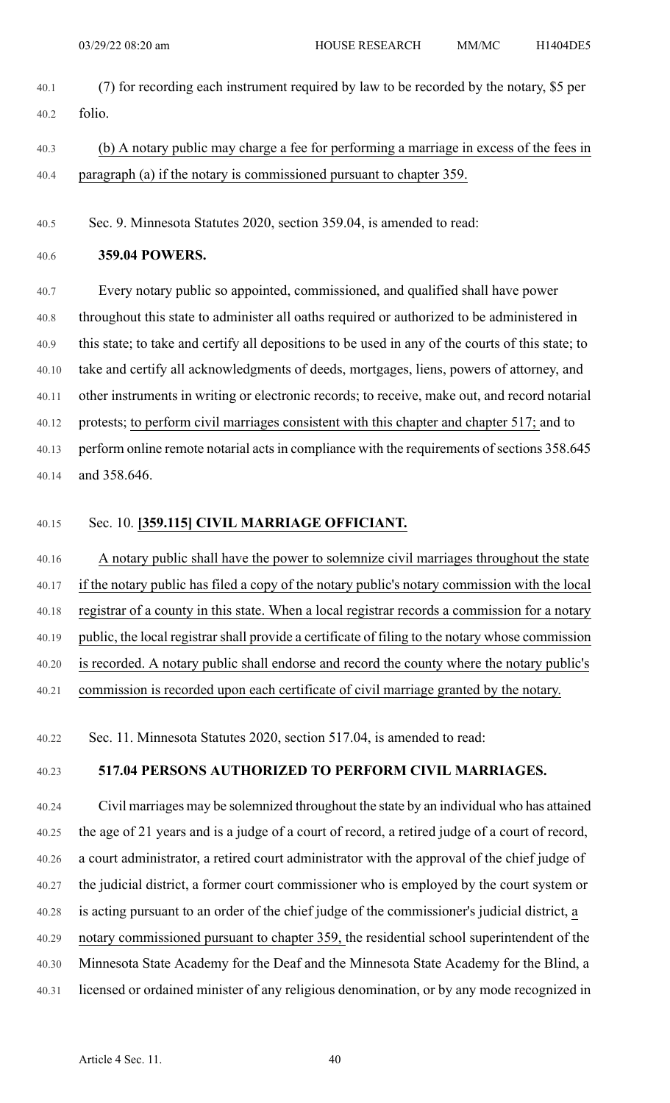- 40.1 (7) for recording each instrument required by law to be recorded by the notary, \$5 per 40.2 folio.
- 40.3 (b) A notary public may charge a fee for performing a marriage in excess of the fees in 40.4 paragraph (a) if the notary is commissioned pursuant to chapter 359.

40.5 Sec. 9. Minnesota Statutes 2020, section 359.04, is amended to read:

40.6 **359.04 POWERS.**

40.7 Every notary public so appointed, commissioned, and qualified shall have power 40.8 throughout this state to administer all oaths required or authorized to be administered in 40.9 this state; to take and certify all depositions to be used in any of the courts of this state; to 40.10 take and certify all acknowledgments of deeds, mortgages, liens, powers of attorney, and 40.11 other instruments in writing or electronic records; to receive, make out, and record notarial 40.12 protests; to perform civil marriages consistent with this chapter and chapter 517; and to 40.13 perform online remote notarial acts in compliance with the requirements of sections 358.645 40.14 and 358.646.

### 40.15 Sec. 10. **[359.115] CIVIL MARRIAGE OFFICIANT.**

40.16 A notary public shall have the power to solemnize civil marriages throughout the state 40.17 if the notary public has filed a copy of the notary public's notary commission with the local 40.18 registrar of a county in this state. When a local registrar records a commission for a notary 40.19 public, the local registrar shall provide a certificate of filing to the notary whose commission 40.20 is recorded. A notary public shall endorse and record the county where the notary public's 40.21 commission is recorded upon each certificate of civil marriage granted by the notary.

40.22 Sec. 11. Minnesota Statutes 2020, section 517.04, is amended to read:

### 40.23 **517.04 PERSONS AUTHORIZED TO PERFORM CIVIL MARRIAGES.**

40.24 Civil marriages may be solemnized throughout the state by an individual who has attained 40.25 the age of 21 years and is a judge of a court of record, a retired judge of a court of record, 40.26 a court administrator, a retired court administrator with the approval of the chief judge of 40.27 the judicial district, a former court commissioner who is employed by the court system or 40.28 is acting pursuant to an order of the chief judge of the commissioner's judicial district, a 40.29 notary commissioned pursuant to chapter 359, the residential school superintendent of the 40.30 Minnesota State Academy for the Deaf and the Minnesota State Academy for the Blind, a 40.31 licensed or ordained minister of any religious denomination, or by any mode recognized in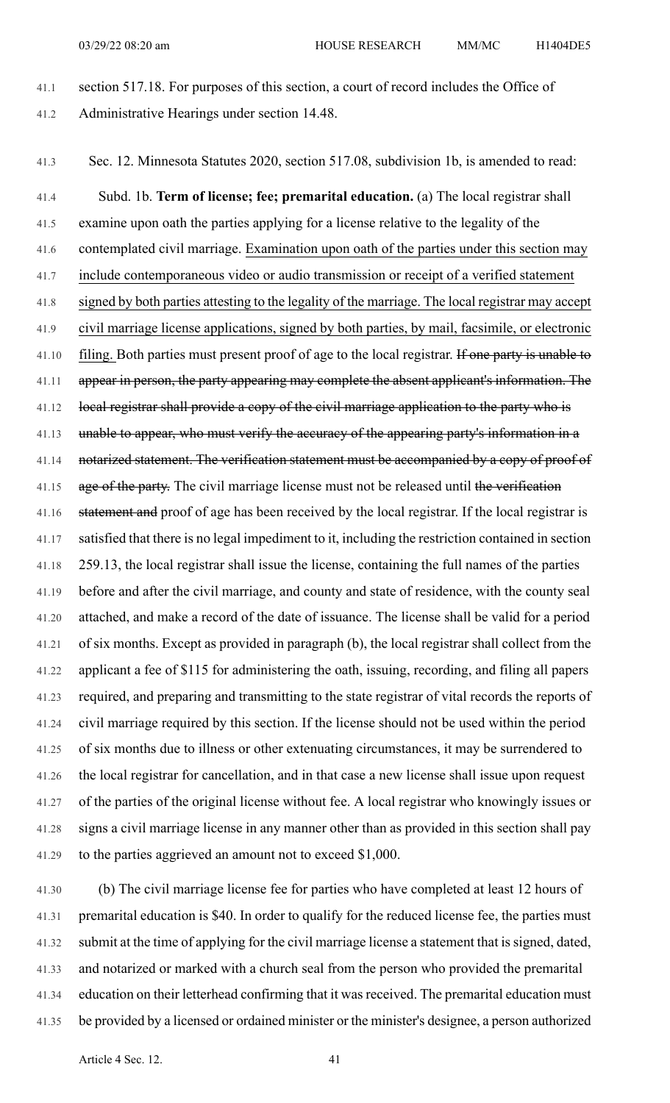41.1 section 517.18. For purposes of this section, a court of record includes the Office of 41.2 Administrative Hearings under section 14.48.

41.3 Sec. 12. Minnesota Statutes 2020, section 517.08, subdivision 1b, is amended to read:

41.4 Subd. 1b. **Term of license; fee; premarital education.** (a) The local registrar shall 41.5 examine upon oath the parties applying for a license relative to the legality of the 41.6 contemplated civil marriage. Examination upon oath of the parties under this section may 41.7 include contemporaneous video or audio transmission or receipt of a verified statement 41.8 signed by both parties attesting to the legality of the marriage. The local registrar may accept 41.9 civil marriage license applications, signed by both parties, by mail, facsimile, or electronic 41.10 filing. Both parties must present proof of age to the local registrar. If one party is unable to 41.11 appear in person, the party appearing may complete the absent applicant's information. The 41.12 local registrar shall provide a copy of the civil marriage application to the party who is 41.13 unable to appear, who must verify the accuracy of the appearing party's information in a 41.14 notarized statement. The verification statement must be accompanied by a copy of proof of 41.15 age of the party. The civil marriage license must not be released until the verification 41.16 statement and proof of age has been received by the local registrar. If the local registrar is 41.17 satisfied that there is no legal impediment to it, including the restriction contained in section 41.18 259.13, the local registrar shall issue the license, containing the full names of the parties 41.19 before and after the civil marriage, and county and state of residence, with the county seal 41.20 attached, and make a record of the date of issuance. The license shall be valid for a period 41.21 of six months. Except as provided in paragraph (b), the local registrar shall collect from the 41.22 applicant a fee of \$115 for administering the oath, issuing, recording, and filing all papers 41.23 required, and preparing and transmitting to the state registrar of vital records the reports of 41.24 civil marriage required by this section. If the license should not be used within the period 41.25 of six months due to illness or other extenuating circumstances, it may be surrendered to 41.26 the local registrar for cancellation, and in that case a new license shall issue upon request 41.27 of the parties of the original license without fee. A local registrar who knowingly issues or 41.28 signs a civil marriage license in any manner other than as provided in this section shall pay 41.29 to the parties aggrieved an amount not to exceed \$1,000.

41.30 (b) The civil marriage license fee for parties who have completed at least 12 hours of 41.31 premarital education is \$40. In order to qualify for the reduced license fee, the parties must 41.32 submit at the time of applying for the civil marriage license a statement that issigned, dated, 41.33 and notarized or marked with a church seal from the person who provided the premarital 41.34 education on their letterhead confirming that it was received. The premarital education must 41.35 be provided by a licensed or ordained minister or the minister's designee, a person authorized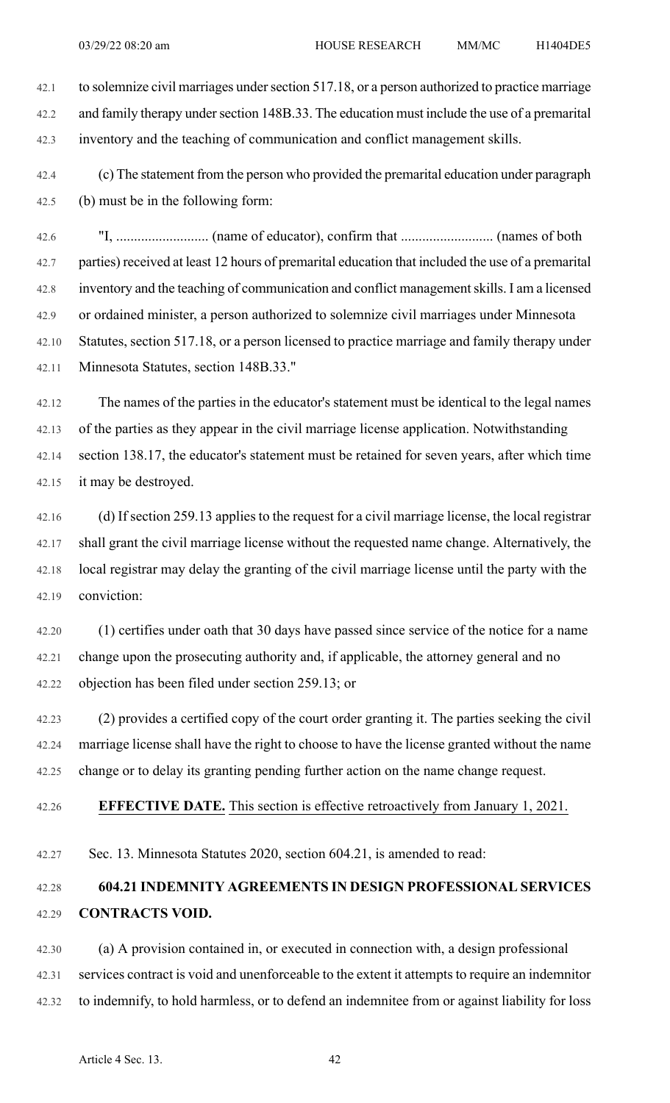42.1 to solemnize civil marriages under section 517.18, or a person authorized to practice marriage 42.2 and family therapy under section 148B.33. The education must include the use of a premarital 42.3 inventory and the teaching of communication and conflict management skills.

42.4 (c) The statement from the person who provided the premarital education under paragraph 42.5 (b) must be in the following form:

42.6 "I, .......................... (name of educator), confirm that .......................... (names of both 42.7 parties) received at least 12 hours of premarital education that included the use of a premarital 42.8 inventory and the teaching of communication and conflict managementskills. I am a licensed 42.9 or ordained minister, a person authorized to solemnize civil marriages under Minnesota 42.10 Statutes, section 517.18, or a person licensed to practice marriage and family therapy under 42.11 Minnesota Statutes, section 148B.33."

42.12 The names of the parties in the educator's statement must be identical to the legal names 42.13 of the parties as they appear in the civil marriage license application. Notwithstanding 42.14 section 138.17, the educator's statement must be retained for seven years, after which time 42.15 it may be destroyed.

42.16 (d) If section 259.13 applies to the request for a civil marriage license, the local registrar 42.17 shall grant the civil marriage license without the requested name change. Alternatively, the 42.18 local registrar may delay the granting of the civil marriage license until the party with the 42.19 conviction:

42.20 (1) certifies under oath that 30 days have passed since service of the notice for a name 42.21 change upon the prosecuting authority and, if applicable, the attorney general and no 42.22 objection has been filed under section 259.13; or

42.23 (2) provides a certified copy of the court order granting it. The parties seeking the civil 42.24 marriage license shall have the right to choose to have the license granted without the name 42.25 change or to delay its granting pending further action on the name change request.

### 42.26 **EFFECTIVE DATE.** This section is effective retroactively from January 1, 2021.

42.27 Sec. 13. Minnesota Statutes 2020, section 604.21, is amended to read:

## 42.28 **604.21 INDEMNITY AGREEMENTS IN DESIGN PROFESSIONAL SERVICES** 42.29 **CONTRACTS VOID.**

42.30 (a) A provision contained in, or executed in connection with, a design professional 42.31 services contract is void and unenforceable to the extent it attempts to require an indemnitor 42.32 to indemnify, to hold harmless, or to defend an indemnitee from or against liability for loss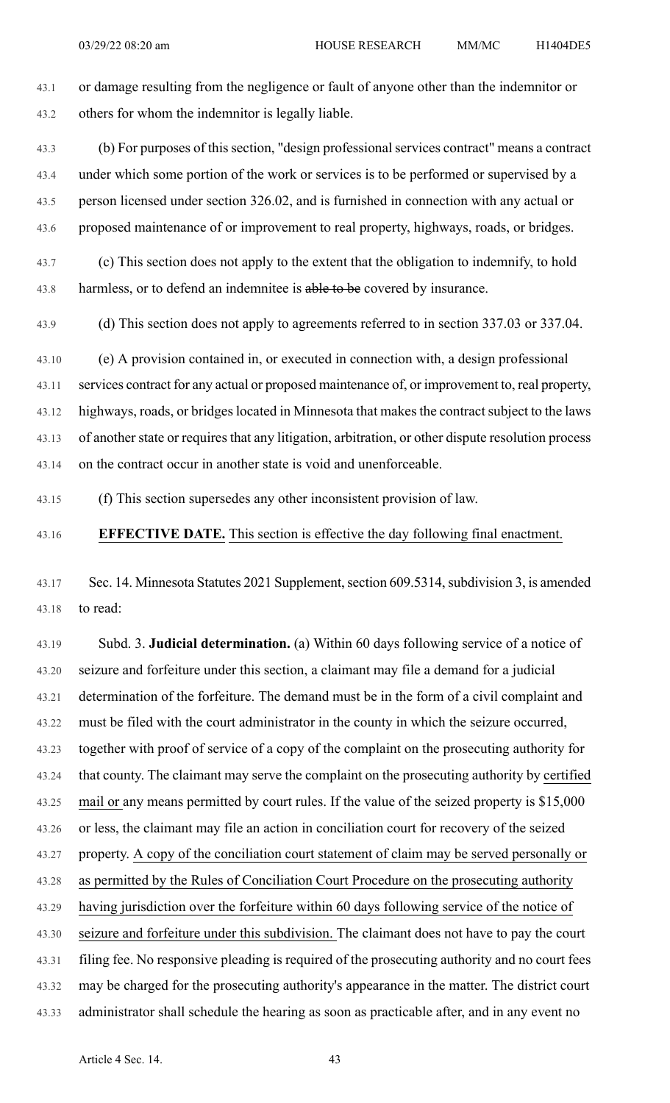43.1 or damage resulting from the negligence or fault of anyone other than the indemnitor or 43.2 others for whom the indemnitor is legally liable.

43.3 (b) For purposes of this section, "design professional services contract" means a contract 43.4 under which some portion of the work or services is to be performed or supervised by a 43.5 person licensed under section 326.02, and is furnished in connection with any actual or 43.6 proposed maintenance of or improvement to real property, highways, roads, or bridges.

43.7 (c) This section does not apply to the extent that the obligation to indemnify, to hold 43.8 harmless, or to defend an indemnitee is able to be covered by insurance.

43.9 (d) This section does not apply to agreements referred to in section 337.03 or 337.04.

43.10 (e) A provision contained in, or executed in connection with, a design professional 43.11 services contract for any actual or proposed maintenance of, or improvement to, real property, 43.12 highways, roads, or bridges located in Minnesota that makes the contract subject to the laws 43.13 of another state or requires that any litigation, arbitration, or other dispute resolution process 43.14 on the contract occur in another state is void and unenforceable.

43.15 (f) This section supersedes any other inconsistent provision of law.

### 43.16 **EFFECTIVE DATE.** This section is effective the day following final enactment.

43.17 Sec. 14. Minnesota Statutes 2021 Supplement, section 609.5314, subdivision 3, is amended 43.18 to read:

43.19 Subd. 3. **Judicial determination.** (a) Within 60 days following service of a notice of 43.20 seizure and forfeiture under this section, a claimant may file a demand for a judicial 43.21 determination of the forfeiture. The demand must be in the form of a civil complaint and 43.22 must be filed with the court administrator in the county in which the seizure occurred, 43.23 together with proof of service of a copy of the complaint on the prosecuting authority for 43.24 that county. The claimant may serve the complaint on the prosecuting authority by certified 43.25 mail or any means permitted by court rules. If the value of the seized property is \$15,000 43.26 or less, the claimant may file an action in conciliation court for recovery of the seized 43.27 property. A copy of the conciliation court statement of claim may be served personally or 43.28 as permitted by the Rules of Conciliation Court Procedure on the prosecuting authority 43.29 having jurisdiction over the forfeiture within 60 days following service of the notice of 43.30 seizure and forfeiture under this subdivision. The claimant does not have to pay the court 43.31 filing fee. No responsive pleading is required of the prosecuting authority and no court fees 43.32 may be charged for the prosecuting authority's appearance in the matter. The district court 43.33 administrator shall schedule the hearing as soon as practicable after, and in any event no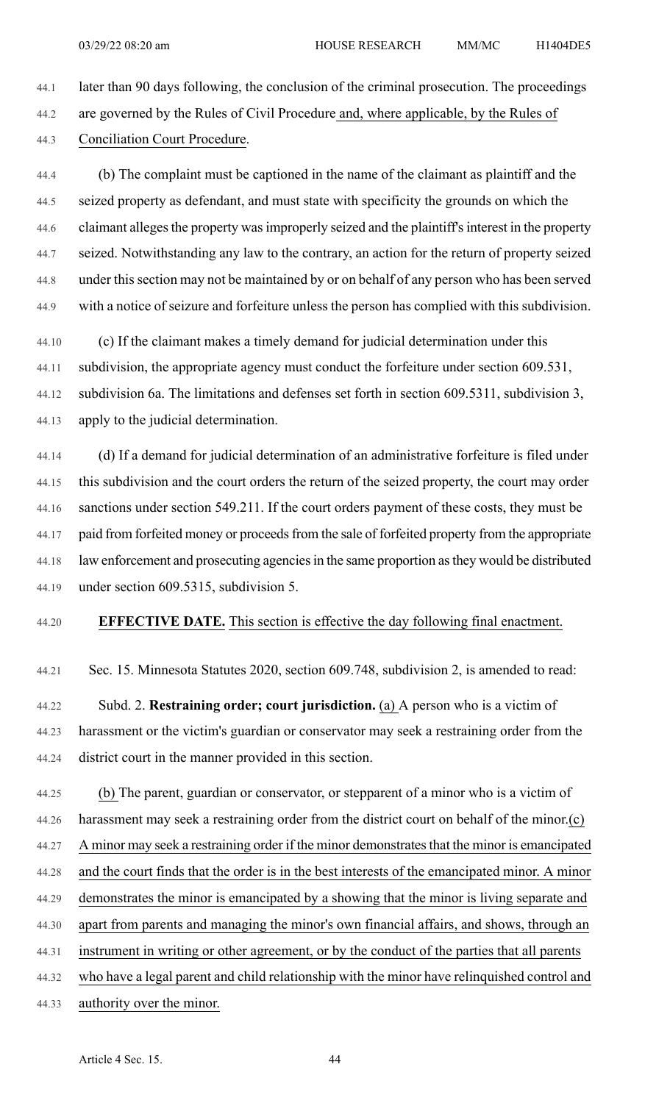44.1 later than 90 days following, the conclusion of the criminal prosecution. The proceedings 44.2 are governed by the Rules of Civil Procedure and, where applicable, by the Rules of 44.3 Conciliation Court Procedure.

44.4 (b) The complaint must be captioned in the name of the claimant as plaintiff and the 44.5 seized property as defendant, and must state with specificity the grounds on which the 44.6 claimant alleges the property was improperly seized and the plaintiff's interest in the property 44.7 seized. Notwithstanding any law to the contrary, an action for the return of property seized 44.8 under thissection may not be maintained by or on behalf of any person who has been served 44.9 with a notice of seizure and forfeiture unless the person has complied with this subdivision.

44.10 (c) If the claimant makes a timely demand for judicial determination under this 44.11 subdivision, the appropriate agency must conduct the forfeiture under section 609.531, 44.12 subdivision 6a. The limitations and defenses set forth in section 609.5311, subdivision 3, 44.13 apply to the judicial determination.

44.14 (d) If a demand for judicial determination of an administrative forfeiture is filed under 44.15 this subdivision and the court orders the return of the seized property, the court may order 44.16 sanctions under section 549.211. If the court orders payment of these costs, they must be 44.17 paid from forfeited money or proceeds from the sale of forfeited property from the appropriate 44.18 law enforcement and prosecuting agencies in the same proportion as they would be distributed 44.19 under section 609.5315, subdivision 5.

### 44.20 **EFFECTIVE DATE.** This section is effective the day following final enactment.

44.21 Sec. 15. Minnesota Statutes 2020, section 609.748, subdivision 2, is amended to read:

44.22 Subd. 2. **Restraining order; court jurisdiction.** (a) A person who is a victim of 44.23 harassment or the victim's guardian or conservator may seek a restraining order from the 44.24 district court in the manner provided in this section.

44.25 (b) The parent, guardian or conservator, or stepparent of a minor who is a victim of 44.26 harassment may seek a restraining order from the district court on behalf of the minor.(c) 44.27 A minor may seek a restraining order if the minor demonstrates that the minor is emancipated 44.28 and the court finds that the order is in the best interests of the emancipated minor. A minor 44.29 demonstrates the minor is emancipated by a showing that the minor is living separate and 44.30 apart from parents and managing the minor's own financial affairs, and shows, through an 44.31 instrument in writing or other agreement, or by the conduct of the parties that all parents 44.32 who have a legal parent and child relationship with the minor have relinquished control and

44.33 authority over the minor.